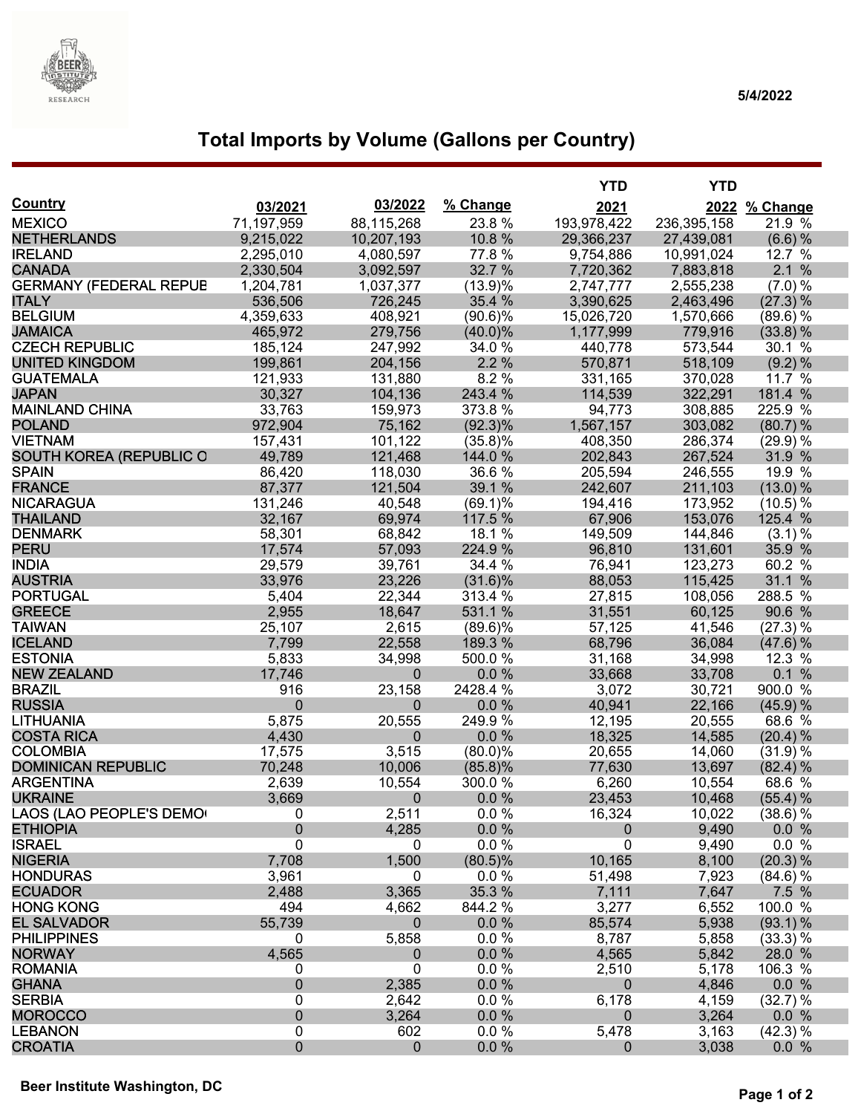

# **Total Imports by Volume (Gallons per Country)**

|                                  |                   |                  |                   | <b>YTD</b>        | <b>YTD</b>  |                   |
|----------------------------------|-------------------|------------------|-------------------|-------------------|-------------|-------------------|
| <b>Country</b>                   | 03/2021           | 03/2022          | % Change          | 2021              |             | 2022 % Change     |
| <b>MEXICO</b>                    | 71,197,959        | 88,115,268       | 23.8%             | 193,978,422       | 236,395,158 | 21.9 %            |
| <b>NETHERLANDS</b>               | 9,215,022         | 10,207,193       | 10.8 %            | 29,366,237        | 27,439,081  | (6.6) %           |
| <b>IRELAND</b>                   | 2,295,010         | 4,080,597        | 77.8%             | 9,754,886         | 10,991,024  | 12.7 %            |
| <b>CANADA</b>                    | 2,330,504         | 3,092,597        | 32.7 %            | 7,720,362         | 7,883,818   | 2.1%              |
| <b>GERMANY (FEDERAL REPUB</b>    | 1,204,781         | 1,037,377        | (13.9)%           | 2,747,777         | 2,555,238   | (7.0) %           |
| <b>ITALY</b>                     | 536,506           | 726,245          | 35.4 %            | 3,390,625         | 2,463,496   | (27.3) %          |
| <b>BELGIUM</b>                   | 4,359,633         | 408,921          | $(90.6)\%$        | 15,026,720        | 1,570,666   | (89.6) %          |
| <b>JAMAICA</b>                   | 465,972           | 279,756          | $(40.0)\%$        | 1,177,999         | 779,916     | $(33.8)$ %        |
| <b>CZECH REPUBLIC</b>            | 185,124           | 247,992          | 34.0 %            | 440,778           | 573,544     | 30.1 %            |
| <b>UNITED KINGDOM</b>            | 199,861           | 204,156          | 2.2%              | 570,871           | 518,109     | (9.2) %           |
| <b>GUATEMALA</b>                 | 121,933           | 131,880          | 8.2%              | 331,165           | 370,028     | 11.7 %            |
| <b>JAPAN</b>                     | 30,327            | 104,136          | 243.4 %           | 114,539           | 322,291     | 181.4 %           |
| <b>MAINLAND CHINA</b>            | 33,763            | 159,973          | 373.8%            | 94,773            | 308,885     | 225.9 %           |
| <b>POLAND</b>                    | 972,904           | 75,162           | $(92.3)\%$        | 1,567,157         | 303,082     | (80.7) %          |
| <b>VIETNAM</b>                   | 157,431           | 101,122          | $(35.8)\%$        | 408,350           | 286,374     | (29.9)%           |
| <b>SOUTH KOREA (REPUBLIC O</b>   | 49,789            | 121,468          | 144.0 %           | 202,843           | 267,524     | 31.9 %            |
| <b>SPAIN</b>                     | 86,420            | 118,030          | 36.6%             | 205,594           | 246,555     | 19.9 %            |
| <b>FRANCE</b>                    | 87,377            | 121,504          | 39.1 %            | 242,607           | 211,103     | $(13.0)\%$        |
| <b>NICARAGUA</b>                 | 131,246           | 40,548           | $(69.1)\%$        | 194,416           | 173,952     | (10.5) %          |
| <b>THAILAND</b>                  | 32,167            | 69,974           | 117.5 %           | 67,906            | 153,076     | 125.4 %           |
| <b>DENMARK</b>                   | 58,301            | 68,842           | 18.1 %            | 149,509           | 144,846     | $(3.1)$ %         |
| <b>PERU</b>                      | 17,574            | 57,093           | 224.9 %           | 96,810            | 131,601     | 35.9 %            |
| <b>INDIA</b>                     | 29,579            | 39,761           | 34.4 %            | 76,941            | 123,273     | 60.2 %            |
| <b>AUSTRIA</b>                   | 33,976            | 23,226           | $(31.6)\%$        | 88,053            | 115,425     | 31.1 %            |
| <b>PORTUGAL</b>                  | 5,404             | 22,344           | 313.4 %           | 27,815            | 108,056     | 288.5 %           |
| <b>GREECE</b>                    | 2,955             | 18,647           | 531.1 %           | 31,551            | 60,125      | 90.6 %            |
| <b>TAIWAN</b>                    | 25,107            | 2,615            | $(89.6)\%$        | 57,125            | 41,546      | (27.3) %          |
| <b>ICELAND</b>                   | 7,799             | 22,558           | 189.3 %           | 68,796            | 36,084      | (47.6) %          |
| <b>ESTONIA</b>                   | 5,833             | 34,998           | 500.0%            | 31,168            | 34,998      | 12.3 %            |
| <b>NEW ZEALAND</b>               | 17,746            | $\mathbf 0$      | $0.0 \%$          | 33,668            | 33,708      | 0.1%              |
| <b>BRAZIL</b>                    | 916               | 23,158           | 2428.4 %          | 3,072             | 30,721      | 900.0 %           |
| <b>RUSSIA</b>                    | $\mathbf{0}$      | $\mathbf{0}$     | 0.0%              | 40,941            | 22,166      | (45.9) %          |
| <b>LITHUANIA</b>                 | 5,875             | 20,555           | 249.9%            | 12,195            | 20,555      | 68.6 %            |
| <b>COSTA RICA</b>                | 4,430             | $\mathbf{0}$     | 0.0 %             | 18,325            | 14,585      | (20.4) %          |
| <b>COLOMBIA</b>                  | 17,575            | 3,515            | $(80.0)\%$        | 20,655            | 14,060      | (31.9) %          |
| <b>DOMINICAN REPUBLIC</b>        | 70,248            | 10,006           | $(85.8)\%$        | 77,630            | 13,697      | (82.4) %          |
| <b>ARGENTINA</b>                 | 2,639             | 10,554           | 300.0 %           | 6,260             | 10,554      | 68.6 %            |
| <b>UKRAINE</b>                   | 3,669             | $\mathbf{0}$     | 0.0%              | 23,453            | 10,468      | $(55.4)$ %        |
| LAOS (LAO PEOPLE'S DEMO          | 0                 | 2,511            | $0.0\%$           | 16,324            | 10,022      | $(38.6)\%$        |
| <b>ETHIOPIA</b>                  | 0                 | 4,285            | 0.0 %             | $\overline{0}$    | 9,490       | $0.0\%$           |
| <b>ISRAEL</b>                    | $\mathbf 0$       | 0                | $0.0 \%$          | $\mathbf 0$       | 9,490       | 0.0 %             |
| <b>NIGERIA</b>                   | 7,708             | 1,500            | $(80.5)\%$        | 10,165            | 8,100       | (20.3) %          |
| <b>HONDURAS</b>                  | 3,961             | 0                | 0.0 %             | 51,498            | 7,923       | (84.6) %          |
| <b>ECUADOR</b>                   | 2,488             | 3,365            | 35.3 %            | 7,111             | 7,647       | 7.5 %             |
| <b>HONG KONG</b>                 | 494               | 4,662            | 844.2 %           | 3,277             | 6,552       | 100.0 %           |
| <b>EL SALVADOR</b>               | 55,739            | $\mathbf{0}$     | 0.0%              | 85,574            | 5,938       | $(93.1)\%$        |
| <b>PHILIPPINES</b>               | 0                 | 5,858            | $0.0 \%$          | 8,787             | 5,858       | (33.3) %          |
| <b>NORWAY</b>                    | 4,565             | $\boldsymbol{0}$ | $0.0 \%$          | 4,565             | 5,842       | 28.0 %            |
| <b>ROMANIA</b>                   | 0                 | 0                | $0.0 \%$          | 2,510             | 5,178       | 106.3 %           |
| <b>GHANA</b>                     | $\mathbf 0$       | 2,385            | $0.0 \%$          | 0                 | 4,846       | 0.0 %             |
| <b>SERBIA</b>                    | $\mathbf 0$       | 2,642            | 0.0 %             | 6,178             | 4,159       | (32.7) %          |
| <b>MOROCCO</b>                   | $\pmb{0}$         | 3,264            | $0.0 \%$          | $\Omega$          | 3,264       | 0.0 %             |
| <b>LEBANON</b><br><b>CROATIA</b> | 0<br>$\mathbf{0}$ | 602              | 0.0 %<br>$0.0 \%$ | 5,478<br>$\Omega$ | 3,163       | (42.3) %<br>0.0 % |
|                                  |                   | $\mathbf{0}$     |                   |                   | 3,038       |                   |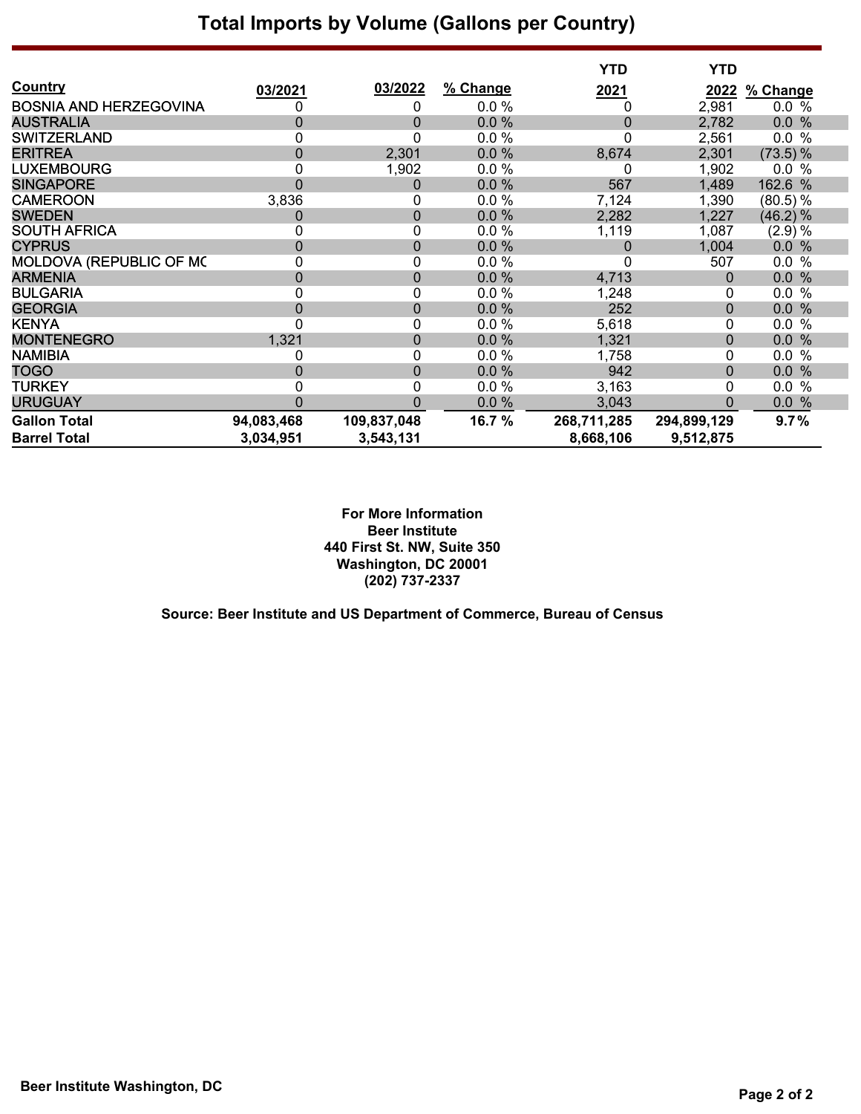## **Total Imports by Volume (Gallons per Country)**

|                               |                |                  |          | <b>YTD</b>  | <b>YTD</b>   |             |
|-------------------------------|----------------|------------------|----------|-------------|--------------|-------------|
| Country                       | 03/2021        | 03/2022          | % Change | <u>2021</u> | 2022         | % Change    |
| <b>BOSNIA AND HERZEGOVINA</b> | 0              | 0                | 0.0 %    | 0           | 2,981        | 0.0 %       |
| <b>AUSTRALIA</b>              | $\mathbf 0$    | 0                | 0.0%     | $\mathbf 0$ | 2,782        | 0.0%        |
| <b>SWITZERLAND</b>            | 0              | 0                | 0.0%     | 0           | 2,561        | 0.0 %       |
| <b>ERITREA</b>                | 0              | 2,301            | 0.0%     | 8,674       | 2,301        | $(73.5)\%$  |
| <b>LUXEMBOURG</b>             | 0              | 1,902            | 0.0%     |             | 1,902        | 0.0%        |
| <b>SINGAPORE</b>              | $\overline{0}$ | $\boldsymbol{0}$ | 0.0%     | 567         | 1,489        | 162.6 %     |
| <b>CAMEROON</b>               | 3,836          | 0                | 0.0%     | 7,124       | 1,390        | (80.5) %    |
| <b>SWEDEN</b>                 | $\overline{0}$ | $\boldsymbol{0}$ | 0.0%     | 2,282       | 1,227        | (46.2) %    |
| <b>SOUTH AFRICA</b>           | 0              | 0                | 0.0%     | 1,119       | 1,087        | (2.9) %     |
| <b>CYPRUS</b>                 | $\overline{0}$ | $\boldsymbol{0}$ | 0.0%     | 0           | 1,004        | 0.0%        |
| MOLDOVA (REPUBLIC OF MC       | 0              | 0                | 0.0%     | 0           | 507          | 0.0 %       |
| <b>ARMENIA</b>                | $\mathbf 0$    | $\boldsymbol{0}$ | 0.0%     | 4,713       | 0            | 0.0<br>$\%$ |
| <b>BULGARIA</b>               | 0              | 0                | 0.0 %    | 1,248       | 0            | $0.0\%$     |
| <b>GEORGIA</b>                | $\overline{0}$ | $\pmb{0}$        | 0.0%     | 252         | $\mathbf{0}$ | 0.0 %       |
| <b>KENYA</b>                  | 0              | 0                | $0.0 \%$ | 5,618       | 0            | $\%$<br>0.0 |
| <b>MONTENEGRO</b>             | 1,321          | $\boldsymbol{0}$ | 0.0%     | 1,321       | $\pmb{0}$    | 0.0%        |
| <b>NAMIBIA</b>                | 0              | 0                | 0.0%     | 1,758       | 0            | $\%$<br>0.0 |
| <b>TOGO</b>                   | $\Omega$       | $\boldsymbol{0}$ | 0.0%     | 942         | $\pmb{0}$    | %<br>0.0    |
| TURKEY                        | 0              | 0                | 0.0%     | 3,163       | 0            | $\%$<br>0.0 |
| <b>URUGUAY</b>                | $\Omega$       | 0                | 0.0%     | 3,043       | $\Omega$     | 0.0 %       |
| <b>Gallon Total</b>           | 94,083,468     | 109,837,048      | 16.7 %   | 268,711,285 | 294,899,129  | 9.7%        |
| <b>Barrel Total</b>           | 3,034,951      | 3,543,131        |          | 8,668,106   | 9,512,875    |             |

**For More Information Beer Institute 440 First St. NW, Suite 350 Washington, DC 20001 (202) 737-2337**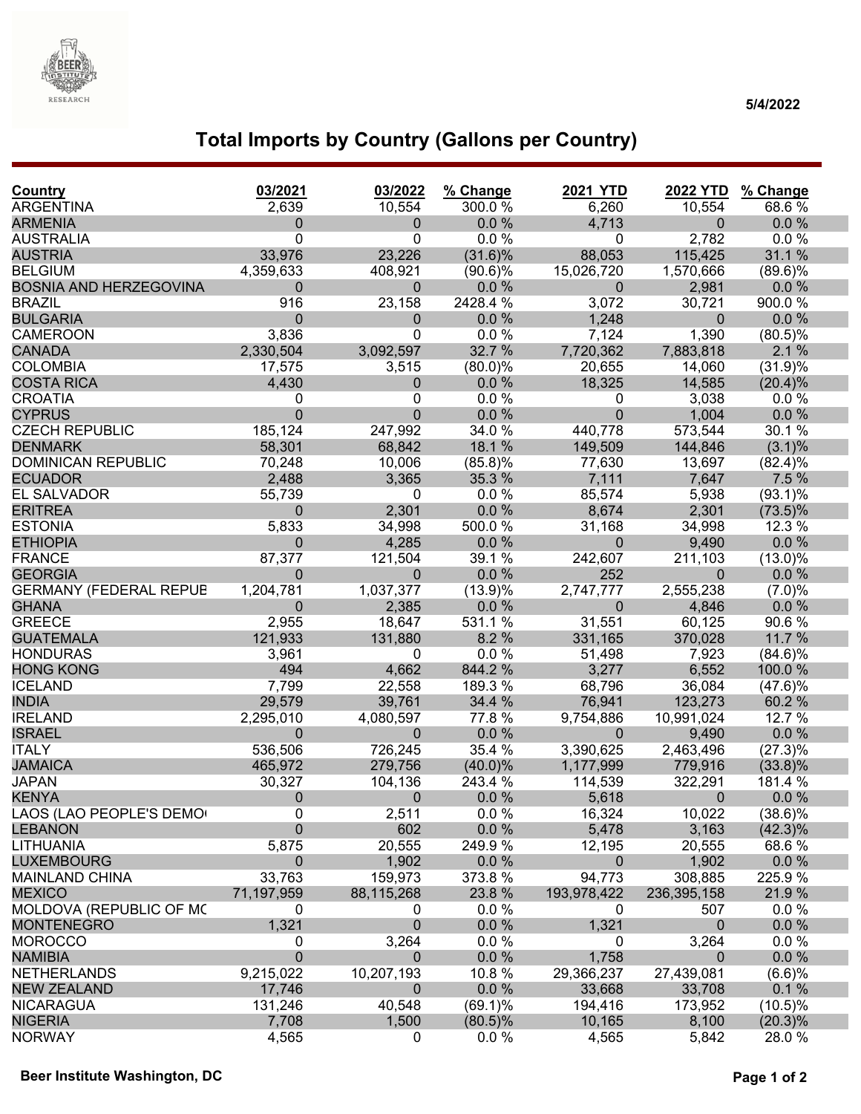

### **5/4/2022**

# **Total Imports by Country (Gallons per Country)**

| Country                       | 03/2021        | 03/2022          | % Change   | <b>2021 YTD</b> | <b>2022 YTD</b> | % Change   |
|-------------------------------|----------------|------------------|------------|-----------------|-----------------|------------|
| <b>ARGENTINA</b>              | 2,639          | 10,554           | 300.0%     | 6,260           | 10,554          | 68.6%      |
| <b>ARMENIA</b>                | $\overline{0}$ | $\mathbf 0$      | 0.0%       | 4,713           | $\mathbf{0}$    | 0.0%       |
| <b>AUSTRALIA</b>              | $\Omega$       | 0                | 0.0%       | 0               | 2,782           | 0.0%       |
| <b>AUSTRIA</b>                | 33,976         | 23,226           | $(31.6)\%$ | 88,053          | 115,425         | 31.1 %     |
| <b>BELGIUM</b>                | 4,359,633      | 408,921          | $(90.6)\%$ | 15,026,720      | 1,570,666       | $(89.6)\%$ |
| <b>BOSNIA AND HERZEGOVINA</b> | $\mathbf{0}$   | $\pmb{0}$        | 0.0%       | $\mathbf 0$     | 2,981           | 0.0%       |
| <b>BRAZIL</b>                 | 916            | 23,158           | 2428.4 %   | 3,072           | 30,721          | 900.0%     |
| <b>BULGARIA</b>               | $\Omega$       | $\mathbf{0}$     | 0.0 %      | 1,248           | $\mathbf{0}$    | 0.0%       |
| <b>CAMEROON</b>               | 3,836          | 0                | 0.0 %      | 7,124           | 1,390           | $(80.5)\%$ |
| <b>CANADA</b>                 | 2,330,504      | 3,092,597        | 32.7 %     | 7,720,362       | 7,883,818       | 2.1%       |
| <b>COLOMBIA</b>               | 17,575         | 3,515            | $(80.0)\%$ | 20,655          | 14,060          | (31.9)%    |
| <b>COSTA RICA</b>             | 4,430          | $\mathbf 0$      | 0.0%       | 18,325          | 14,585          | (20.4)%    |
| <b>CROATIA</b>                | 0              | 0                | 0.0%       | 0               | 3,038           | 0.0%       |
| <b>CYPRUS</b>                 | $\Omega$       | $\mathbf 0$      | 0.0%       | $\overline{0}$  | 1,004           | $0.0 \%$   |
| <b>CZECH REPUBLIC</b>         | 185,124        | 247,992          | 34.0 %     | 440,778         | 573,544         | 30.1 %     |
| <b>DENMARK</b>                | 58,301         | 68,842           | 18.1 %     | 149,509         | 144,846         | $(3.1)\%$  |
| <b>DOMINICAN REPUBLIC</b>     | 70,248         | 10,006           | $(85.8)\%$ | 77,630          | 13,697          | (82.4)%    |
| <b>ECUADOR</b>                | 2,488          | 3,365            | 35.3 %     | 7,111           | 7,647           | 7.5 %      |
| EL SALVADOR                   | 55,739         | 0                | 0.0%       | 85,574          | 5,938           | $(93.1)\%$ |
| <b>ERITREA</b>                | $\Omega$       | 2,301            | 0.0 %      | 8,674           | 2,301           | $(73.5)\%$ |
| <b>ESTONIA</b>                | 5,833          | 34,998           | 500.0%     | 31,168          | 34,998          | 12.3 %     |
| <b>ETHIOPIA</b>               | $\Omega$       | 4,285            | 0.0%       | $\mathbf 0$     | 9,490           | 0.0%       |
| <b>FRANCE</b>                 | 87,377         | 121,504          | 39.1 %     | 242,607         | 211,103         | $(13.0)\%$ |
| <b>GEORGIA</b>                | $\Omega$       | $\mathbf 0$      | 0.0 %      | 252             | $\mathbf 0$     | 0.0%       |
| <b>GERMANY (FEDERAL REPUB</b> | 1,204,781      | 1,037,377        | (13.9)%    | 2,747,777       | 2,555,238       | (7.0)%     |
| <b>GHANA</b>                  | $\mathbf{0}$   | 2,385            | 0.0%       | $\mathbf 0$     | 4,846           | $0.0 \%$   |
| <b>GREECE</b>                 | 2,955          | 18,647           | 531.1 %    | 31,551          | 60,125          | 90.6%      |
| <b>GUATEMALA</b>              | 121,933        | 131,880          | 8.2%       | 331,165         | 370,028         | 11.7 %     |
| <b>HONDURAS</b>               | 3,961          | 0                | 0.0%       | 51,498          | 7,923           | $(84.6)\%$ |
| <b>HONG KONG</b>              | 494            | 4,662            | 844.2%     | 3,277           | 6,552           | 100.0%     |
| <b>ICELAND</b>                | 7,799          | 22,558           | 189.3 %    | 68,796          | 36,084          | (47.6)%    |
| <b>INDIA</b>                  | 29,579         | 39,761           | 34.4 %     | 76,941          | 123,273         | 60.2 %     |
| <b>IRELAND</b>                | 2,295,010      | 4,080,597        | 77.8 %     | 9,754,886       | 10,991,024      | 12.7 %     |
| <b>ISRAEL</b>                 | $\overline{0}$ | $\mathbf 0$      | $0.0 \%$   | $\mathbf{0}$    | 9,490           | $0.0 \%$   |
| <b>ITALY</b>                  | 536,506        | 726,245          | 35.4 %     | 3,390,625       | 2,463,496       | $(27.3)\%$ |
| <b>JAMAICA</b>                | 465,972        | 279,756          | $(40.0)\%$ | 1,177,999       | 779,916         | $(33.8)\%$ |
| <b>JAPAN</b>                  | 30,327         | 104,136          | 243.4 %    | 114,539         | 322,291         | 181.4 %    |
| <b>KENYA</b>                  | $\mathbf{0}$   | $\boldsymbol{0}$ | 0.0%       | 5,618           | $\mathbf 0$     | 0.0%       |
| LAOS (LAO PEOPLE'S DEMO       | 0              | 2,511            | 0.0%       | 16,324          | 10,022          | $(38.6)\%$ |
| <b>LEBANON</b>                | $\Omega$       | 602              | $0.0 \%$   | 5,478           | 3,163           | $(42.3)\%$ |
| <b>LITHUANIA</b>              | 5,875          | 20,555           | 249.9 %    | 12,195          | 20,555          | 68.6%      |
| <b>LUXEMBOURG</b>             | $\mathbf 0$    | 1,902            | 0.0%       | 0               | 1,902           | $0.0 \%$   |
| <b>MAINLAND CHINA</b>         | 33,763         | 159,973          | 373.8 %    | 94,773          | 308,885         | 225.9 %    |
| <b>MEXICO</b>                 | 71,197,959     | 88,115,268       | 23.8 %     | 193,978,422     | 236,395,158     | 21.9%      |
| MOLDOVA (REPUBLIC OF MC       | 0              | 0                | 0.0%       | 0               | 507             | $0.0 \%$   |
| <b>MONTENEGRO</b>             | 1,321          | $\pmb{0}$        | $0.0 \%$   | 1,321           | 0               | $0.0 \%$   |
| <b>MOROCCO</b>                | 0              | 3,264            | 0.0%       | 0               | 3,264           | $0.0 \%$   |
| <b>NAMIBIA</b>                | $\mathbf 0$    | $\mathbf 0$      | $0.0 \%$   | 1,758           | $\Omega$        | $0.0 \%$   |
| <b>NETHERLANDS</b>            | 9,215,022      | 10,207,193       | 10.8 %     | 29,366,237      | 27,439,081      | (6.6)%     |
| <b>NEW ZEALAND</b>            | 17,746         | 0                | 0.0%       | 33,668          | 33,708          | 0.1%       |
| <b>NICARAGUA</b>              | 131,246        | 40,548           | $(69.1)\%$ | 194,416         | 173,952         | $(10.5)\%$ |
| <b>NIGERIA</b>                | 7,708          | 1,500            | $(80.5)\%$ | 10,165          | 8,100           | $(20.3)\%$ |
| <b>NORWAY</b>                 | 4,565          | $\mathbf 0$      | 0.0%       | 4,565           | 5,842           | 28.0%      |
|                               |                |                  |            |                 |                 |            |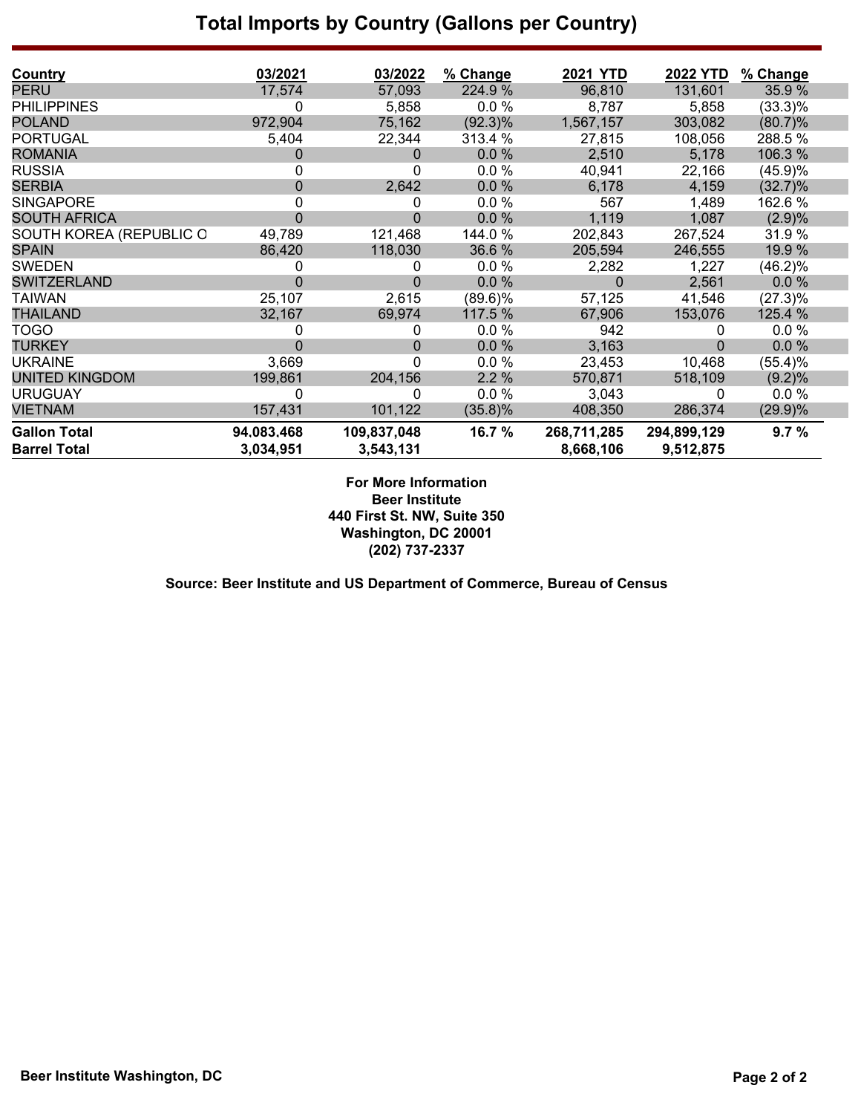## **Total Imports by Country (Gallons per Country)**

| <b>Country</b>          | 03/2021      | 03/2022     | % Change   | <b>2021 YTD</b> | <b>2022 YTD</b> | % Change   |
|-------------------------|--------------|-------------|------------|-----------------|-----------------|------------|
| <b>PERU</b>             | 17,574       | 57,093      | 224.9 %    | 96,810          | 131,601         | 35.9%      |
| <b>PHILIPPINES</b>      | 0            | 5,858       | $0.0 \%$   | 8,787           | 5,858           | $(33.3)\%$ |
| <b>POLAND</b>           | 972,904      | 75,162      | $(92.3)\%$ | 1,567,157       | 303,082         | (80.7)%    |
| <b>PORTUGAL</b>         | 5,404        | 22,344      | 313.4 %    | 27,815          | 108,056         | 288.5%     |
| <b>ROMANIA</b>          | 0            | 0           | 0.0%       | 2,510           | 5,178           | 106.3 %    |
| <b>RUSSIA</b>           | 0            | 0           | 0.0%       | 40,941          | 22,166          | (45.9)%    |
| <b>SERBIA</b>           | 0            | 2,642       | 0.0%       | 6,178           | 4,159           | $(32.7)\%$ |
| <b>SINGAPORE</b>        | 0            | 0           | 0.0%       | 567             | 1,489           | 162.6 %    |
| <b>SOUTH AFRICA</b>     | $\Omega$     | 0           | 0.0%       | 1,119           | 1,087           | (2.9)%     |
| SOUTH KOREA (REPUBLIC O | 49,789       | 121,468     | 144.0 %    | 202,843         | 267,524         | 31.9%      |
| <b>SPAIN</b>            | 86,420       | 118,030     | 36.6%      | 205,594         | 246,555         | 19.9 %     |
| <b>SWEDEN</b>           | $\mathbf{0}$ | 0           | 0.0%       | 2,282           | 1,227           | (46.2)%    |
| <b>SWITZERLAND</b>      | $\Omega$     | 0           | $0.0 \%$   | 0               | 2,561           | $0.0 \%$   |
| <b>TAIWAN</b>           | 25,107       | 2,615       | $(89.6)\%$ | 57,125          | 41,546          | (27.3)%    |
| <b>THAILAND</b>         | 32,167       | 69,974      | 117.5 %    | 67,906          | 153,076         | 125.4 %    |
| <b>TOGO</b>             | 0            | 0           | 0.0%       | 942             | 0               | 0.0%       |
| <b>TURKEY</b>           | 0            | 0           | 0.0%       | 3,163           | 0               | 0.0%       |
| <b>UKRAINE</b>          | 3,669        | 0           | 0.0%       | 23,453          | 10,468          | (55.4)%    |
| <b>UNITED KINGDOM</b>   | 199,861      | 204,156     | 2.2%       | 570,871         | 518,109         | (9.2)%     |
| <b>URUGUAY</b>          | 0            | 0           | $0.0 \%$   | 3,043           | 0               | 0.0%       |
| <b>VIETNAM</b>          | 157,431      | 101,122     | (35.8)%    | 408,350         | 286,374         | $(29.9)\%$ |
| <b>Gallon Total</b>     | 94.083.468   | 109,837,048 | 16.7 %     | 268,711,285     | 294,899,129     | 9.7%       |
| <b>Barrel Total</b>     | 3,034,951    | 3,543,131   |            | 8,668,106       | 9,512,875       |            |

#### **For More Information Beer Institute 440 First St. NW, Suite 350 Washington, DC 20001 (202) 737-2337**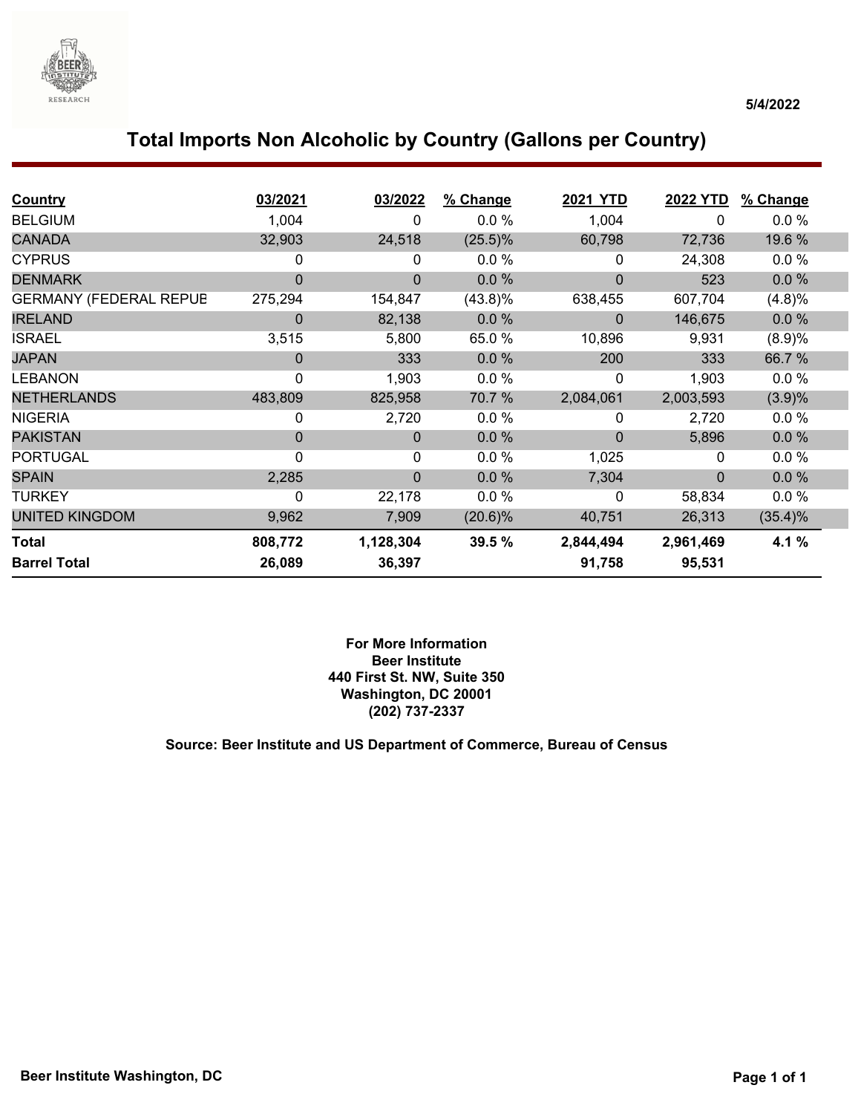

## **Total Imports Non Alcoholic by Country (Gallons per Country)**

| <b>Country</b>                | 03/2021      | 03/2022        | % Change   | 2021 YTD    | <b>2022 YTD</b> | % Change |  |
|-------------------------------|--------------|----------------|------------|-------------|-----------------|----------|--|
| <b>BELGIUM</b>                | 1,004        | 0              | 0.0%       | 1,004       | 0               | $0.0 \%$ |  |
| <b>CANADA</b>                 | 32,903       | 24,518         | $(25.5)\%$ | 60,798      | 72,736          | 19.6 %   |  |
| <b>CYPRUS</b>                 | 0            | 0              | $0.0 \%$   | 0           | 24,308          | 0.0%     |  |
| <b>DENMARK</b>                | $\Omega$     | $\overline{0}$ | 0.0%       | $\mathbf 0$ | 523             | 0.0%     |  |
| <b>GERMANY (FEDERAL REPUB</b> | 275,294      | 154,847        | (43.8)%    | 638,455     | 607,704         | (4.8)%   |  |
| <b>IRELAND</b>                | $\Omega$     | 82,138         | 0.0%       | 0           | 146,675         | 0.0%     |  |
| <b>ISRAEL</b>                 | 3,515        | 5,800          | 65.0%      | 10,896      | 9,931           | (8.9)%   |  |
| <b>JAPAN</b>                  | $\Omega$     | 333            | 0.0%       | 200         | 333             | 66.7%    |  |
| <b>LEBANON</b>                | 0            | 1,903          | 0.0%       | 0           | 1,903           | 0.0%     |  |
| <b>NETHERLANDS</b>            | 483,809      | 825,958        | 70.7 %     | 2,084,061   | 2,003,593       | (3.9)%   |  |
| <b>NIGERIA</b>                | 0            | 2,720          | $0.0 \%$   | 0           | 2,720           | $0.0 \%$ |  |
| <b>PAKISTAN</b>               | $\Omega$     | $\mathbf 0$    | 0.0%       | $\mathbf 0$ | 5,896           | 0.0%     |  |
| <b>PORTUGAL</b>               | $\mathbf{0}$ | 0              | $0.0 \%$   | 1,025       | 0               | 0.0 %    |  |
| <b>SPAIN</b>                  | 2,285        | $\mathbf 0$    | 0.0%       | 7,304       | $\Omega$        | 0.0%     |  |
| <b>TURKEY</b>                 | 0            | 22,178         | 0.0%       | 0           | 58,834          | 0.0%     |  |
| <b>UNITED KINGDOM</b>         | 9,962        | 7,909          | $(20.6)\%$ | 40,751      | 26,313          | (35.4)%  |  |
| <b>Total</b>                  | 808,772      | 1,128,304      | 39.5 %     | 2,844,494   | 2,961,469       | 4.1 %    |  |
| <b>Barrel Total</b>           | 26,089       | 36,397         |            | 91,758      | 95,531          |          |  |

#### **For More Information Beer Institute 440 First St. NW, Suite 350 Washington, DC 20001 (202) 737-2337**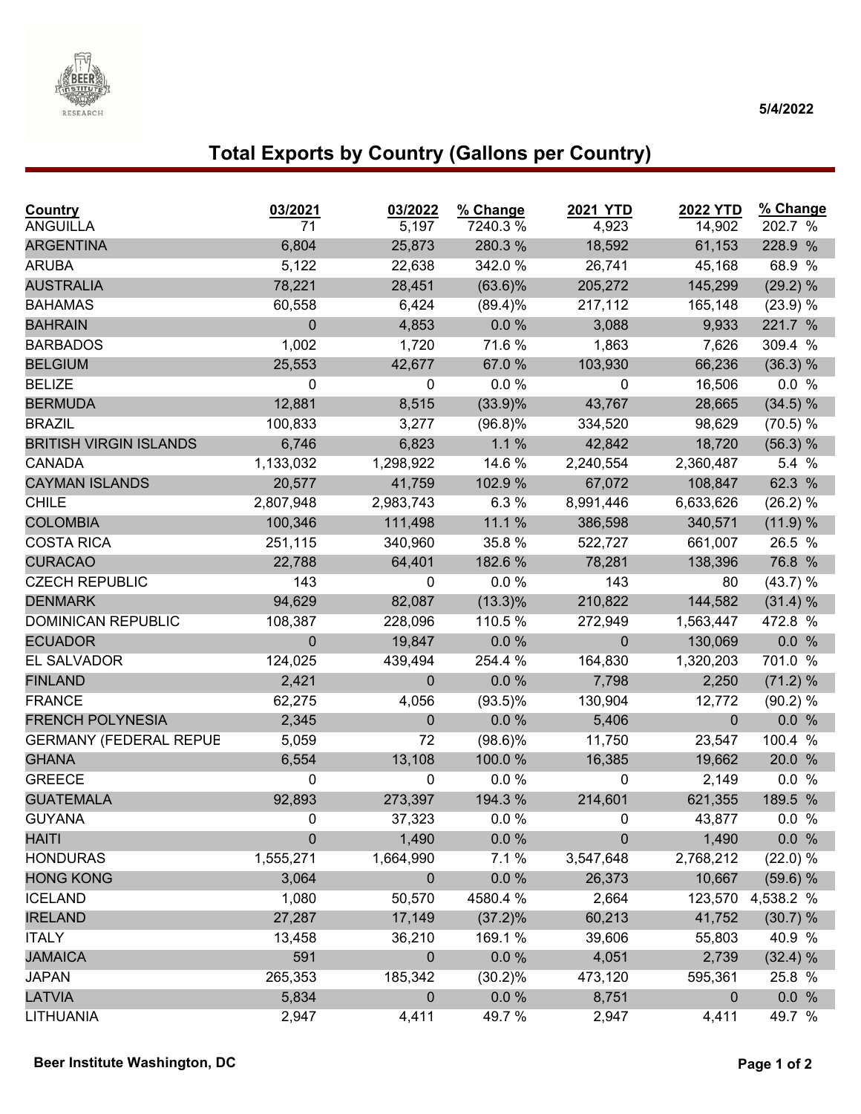

#### **5/4/2022**

# **Total Exports by Country (Gallons per Country)**

| Country<br><b>ANGUILLA</b>    | 03/2021<br>71 | 03/2022<br>5,197 | % Change<br>7240.3% | <b>2021 YTD</b><br>4,923 | <b>2022 YTD</b><br>14,902 | % Change<br>202.7 % |
|-------------------------------|---------------|------------------|---------------------|--------------------------|---------------------------|---------------------|
| <b>ARGENTINA</b>              | 6,804         | 25,873           | 280.3%              | 18,592                   | 61,153                    | 228.9 %             |
| <b>ARUBA</b>                  | 5,122         | 22,638           | 342.0%              | 26,741                   | 45,168                    | 68.9 %              |
| <b>AUSTRALIA</b>              | 78,221        | 28,451           | $(63.6)\%$          | 205,272                  | 145,299                   | (29.2) %            |
| <b>BAHAMAS</b>                | 60,558        | 6,424            | $(89.4)\%$          | 217,112                  | 165,148                   | (23.9) %            |
| <b>BAHRAIN</b>                | $\mathbf 0$   | 4,853            | 0.0%                | 3,088                    | 9,933                     | 221.7 %             |
| <b>BARBADOS</b>               | 1,002         | 1,720            | 71.6 %              | 1,863                    | 7,626                     | 309.4 %             |
| <b>BELGIUM</b>                | 25,553        | 42,677           | 67.0%               | 103,930                  | 66,236                    | (36.3) %            |
| <b>BELIZE</b>                 | 0             | 0                | 0.0%                | 0                        | 16,506                    | 0.0 %               |
| <b>BERMUDA</b>                | 12,881        | 8,515            | $(33.9)\%$          | 43,767                   | 28,665                    | (34.5) %            |
| <b>BRAZIL</b>                 | 100,833       | 3,277            | $(96.8)\%$          | 334,520                  | 98,629                    | (70.5) %            |
| <b>BRITISH VIRGIN ISLANDS</b> | 6,746         | 6,823            | 1.1%                | 42,842                   | 18,720                    | (56.3) %            |
| <b>CANADA</b>                 | 1,133,032     | 1,298,922        | 14.6 %              | 2,240,554                | 2,360,487                 | 5.4 %               |
| <b>CAYMAN ISLANDS</b>         | 20,577        | 41,759           | 102.9 %             | 67,072                   | 108,847                   | 62.3 %              |
| <b>CHILE</b>                  | 2,807,948     | 2,983,743        | 6.3 %               | 8,991,446                | 6,633,626                 | (26.2) %            |
| <b>COLOMBIA</b>               | 100,346       | 111,498          | 11.1 %              | 386,598                  | 340,571                   | (11.9) %            |
| <b>COSTA RICA</b>             | 251,115       | 340,960          | 35.8 %              | 522,727                  | 661,007                   | 26.5 %              |
| <b>CURACAO</b>                | 22,788        | 64,401           | 182.6 %             | 78,281                   | 138,396                   | 76.8 %              |
| <b>CZECH REPUBLIC</b>         | 143           | 0                | $0.0 \%$            | 143                      | 80                        | (43.7) %            |
| <b>DENMARK</b>                | 94,629        | 82,087           | $(13.3)\%$          | 210,822                  | 144,582                   | (31.4) %            |
| <b>DOMINICAN REPUBLIC</b>     | 108,387       | 228,096          | 110.5 %             | 272,949                  | 1,563,447                 | 472.8 %             |
| <b>ECUADOR</b>                | $\mathbf 0$   | 19,847           | $0.0 \%$            | $\mathbf 0$              | 130,069                   | 0.0 %               |
| EL SALVADOR                   | 124,025       | 439,494          | 254.4 %             | 164,830                  | 1,320,203                 | 701.0 %             |
| <b>FINLAND</b>                | 2,421         | 0                | 0.0 %               | 7,798                    | 2,250                     | (71.2) %            |
| <b>FRANCE</b>                 | 62,275        | 4,056            | $(93.5)\%$          | 130,904                  | 12,772                    | (90.2) %            |
| <b>FRENCH POLYNESIA</b>       | 2,345         | $\mathbf 0$      | 0.0 %               | 5,406                    | $\mathbf{0}$              | 0.0 %               |
| <b>GERMANY (FEDERAL REPUE</b> | 5,059         | 72               | $(98.6)\%$          | 11,750                   | 23,547                    | 100.4 %             |
| <b>GHANA</b>                  | 6,554         | 13,108           | 100.0%              | 16,385                   | 19,662                    | 20.0 %              |
| <b>GREECE</b>                 | 0             | 0                | $0.0 \%$            | 0                        | 2,149                     | 0.0 %               |
| <b>GUATEMALA</b>              | 92,893        | 273,397          | 194.3 %             | 214,601                  | 621,355                   | 189.5 %             |
| <b>GUYANA</b>                 | 0             | 37,323           | 0.0 %               | 0                        | 43,877                    | 0.0 %               |
| <b>HAITI</b>                  | $\mathbf 0$   | 1,490            | 0.0 %               | $\boldsymbol{0}$         | 1,490                     | 0.0 %               |
| <b>HONDURAS</b>               | 1,555,271     | 1,664,990        | 7.1 %               | 3,547,648                | 2,768,212                 | (22.0) %            |
| <b>HONG KONG</b>              | 3,064         | 0                | $0.0 \%$            | 26,373                   | 10,667                    | (59.6) %            |
| <b>ICELAND</b>                | 1,080         | 50,570           | 4580.4 %            | 2,664                    | 123,570                   | 4,538.2 %           |
| <b>IRELAND</b>                | 27,287        | 17,149           | $(37.2)\%$          | 60,213                   | 41,752                    | (30.7) %            |
| <b>ITALY</b>                  | 13,458        | 36,210           | 169.1 %             | 39,606                   | 55,803                    | 40.9 %              |
| <b>JAMAICA</b>                | 591           | $\pmb{0}$        | 0.0 %               | 4,051                    | 2,739                     | (32.4) %            |
| <b>JAPAN</b>                  | 265,353       | 185,342          | $(30.2)\%$          | 473,120                  | 595,361                   | 25.8 %              |
| <b>LATVIA</b>                 | 5,834         | $\pmb{0}$        | $0.0 \%$            | 8,751                    | $\boldsymbol{0}$          | 0.0 %               |
| LITHUANIA                     | 2,947         | 4,411            | 49.7 %              | 2,947                    | 4,411                     | 49.7 %              |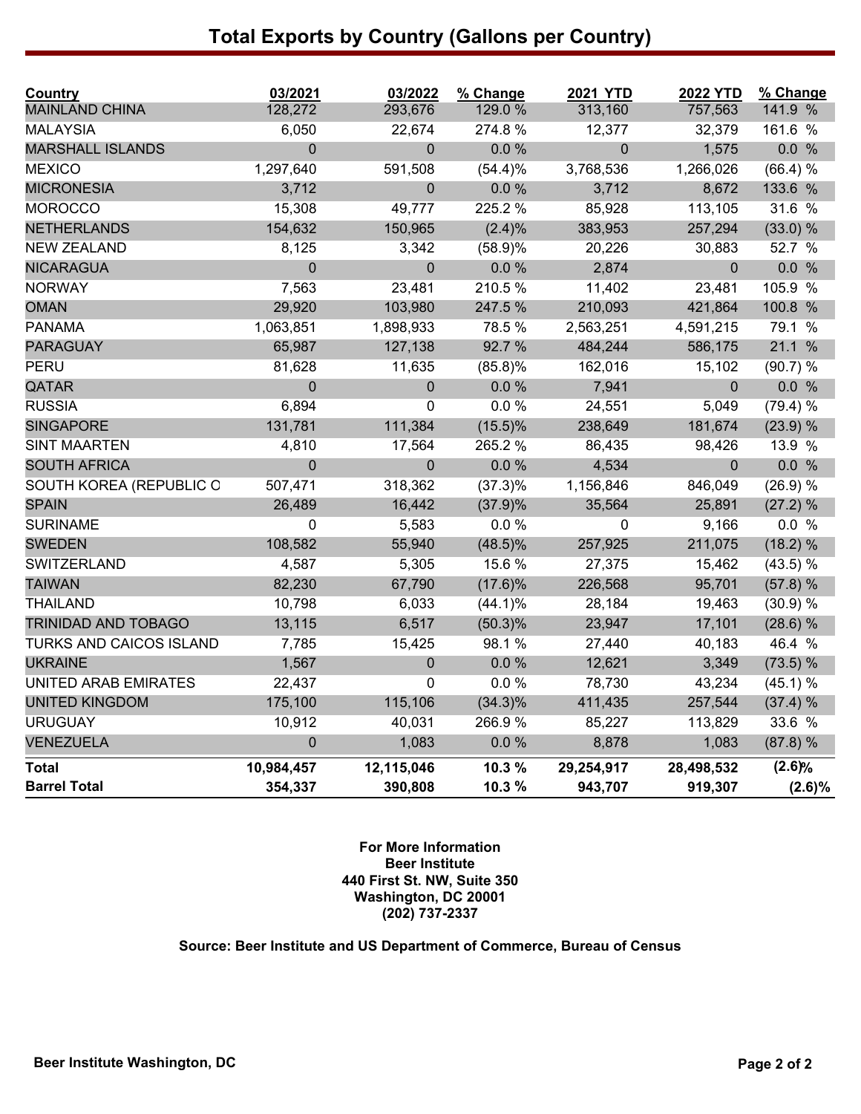## **Total Exports by Country (Gallons per Country)**

| Country                        | 03/2021     | 03/2022     | % Change   | <b>2021 YTD</b> | <b>2022 YTD</b> | % Change   |
|--------------------------------|-------------|-------------|------------|-----------------|-----------------|------------|
| <b>MAINLAND CHINA</b>          | 128,272     | 293,676     | 129.0 %    | 313,160         | 757,563         | 141.9 %    |
| <b>MALAYSIA</b>                | 6,050       | 22,674      | 274.8%     | 12,377          | 32,379          | 161.6 %    |
| <b>MARSHALL ISLANDS</b>        | $\mathbf 0$ | $\mathbf 0$ | 0.0 %      | 0               | 1,575           | 0.0 %      |
| <b>MEXICO</b>                  | 1,297,640   | 591,508     | (54.4)%    | 3,768,536       | 1,266,026       | (66.4) %   |
| <b>MICRONESIA</b>              | 3,712       | 0           | $0.0 \%$   | 3,712           | 8,672           | 133.6 %    |
| <b>MOROCCO</b>                 | 15,308      | 49,777      | 225.2 %    | 85,928          | 113,105         | 31.6 %     |
| <b>NETHERLANDS</b>             | 154,632     | 150,965     | $(2.4)\%$  | 383,953         | 257,294         | $(33.0)$ % |
| <b>NEW ZEALAND</b>             | 8,125       | 3,342       | (58.9)%    | 20,226          | 30,883          | 52.7 %     |
| <b>NICARAGUA</b>               | $\mathbf 0$ | $\mathbf 0$ | $0.0 \%$   | 2,874           | $\mathbf{0}$    | 0.0 %      |
| <b>NORWAY</b>                  | 7,563       | 23,481      | 210.5%     | 11,402          | 23,481          | 105.9 %    |
| <b>OMAN</b>                    | 29,920      | 103,980     | 247.5 %    | 210,093         | 421,864         | 100.8 %    |
| <b>PANAMA</b>                  | 1,063,851   | 1,898,933   | 78.5 %     | 2,563,251       | 4,591,215       | 79.1 %     |
| <b>PARAGUAY</b>                | 65,987      | 127,138     | 92.7 %     | 484,244         | 586,175         | 21.1 %     |
| PERU                           | 81,628      | 11,635      | $(85.8)\%$ | 162,016         | 15,102          | (90.7) %   |
| QATAR                          | $\pmb{0}$   | $\pmb{0}$   | 0.0 %      | 7,941           | $\mathbf{0}$    | 0.0 %      |
| <b>RUSSIA</b>                  | 6,894       | 0           | 0.0%       | 24,551          | 5,049           | (79.4) %   |
| <b>SINGAPORE</b>               | 131,781     | 111,384     | $(15.5)\%$ | 238,649         | 181,674         | (23.9) %   |
| <b>SINT MAARTEN</b>            | 4,810       | 17,564      | 265.2 %    | 86,435          | 98,426          | 13.9 %     |
| <b>SOUTH AFRICA</b>            | $\mathbf 0$ | $\mathbf 0$ | $0.0 \%$   | 4,534           | $\mathbf{0}$    | 0.0 %      |
| SOUTH KOREA (REPUBLIC O        | 507,471     | 318,362     | $(37.3)\%$ | 1,156,846       | 846,049         | (26.9) %   |
| <b>SPAIN</b>                   | 26,489      | 16,442      | (37.9)%    | 35,564          | 25,891          | (27.2) %   |
| <b>SURINAME</b>                | $\mathbf 0$ | 5,583       | 0.0%       | 0               | 9,166           | 0.0 %      |
| <b>SWEDEN</b>                  | 108,582     | 55,940      | $(48.5)\%$ | 257,925         | 211,075         | (18.2) %   |
| <b>SWITZERLAND</b>             | 4,587       | 5,305       | 15.6 %     | 27,375          | 15,462          | (43.5) %   |
| <b>TAIWAN</b>                  | 82,230      | 67,790      | (17.6)%    | 226,568         | 95,701          | (57.8) %   |
| <b>THAILAND</b>                | 10,798      | 6,033       | $(44.1)\%$ | 28,184          | 19,463          | (30.9) %   |
| <b>TRINIDAD AND TOBAGO</b>     | 13,115      | 6,517       | $(50.3)\%$ | 23,947          | 17,101          | (28.6) %   |
| <b>TURKS AND CAICOS ISLAND</b> | 7,785       | 15,425      | 98.1%      | 27,440          | 40,183          | 46.4 %     |
| <b>UKRAINE</b>                 | 1,567       | $\mathbf 0$ | 0.0%       | 12,621          | 3,349           | (73.5) %   |
| UNITED ARAB EMIRATES           | 22,437      | 0           | 0.0%       | 78,730          | 43,234          | (45.1) %   |
| <b>UNITED KINGDOM</b>          | 175,100     | 115,106     | $(34.3)\%$ | 411,435         | 257,544         | (37.4) %   |
| <b>URUGUAY</b>                 | 10,912      | 40,031      | 266.9%     | 85,227          | 113,829         | 33.6 %     |
| <b>VENEZUELA</b>               | $\mathbf 0$ | 1,083       | 0.0%       | 8,878           | 1,083           | (87.8) %   |
| <b>Total</b>                   | 10,984,457  | 12,115,046  | 10.3 %     | 29,254,917      | 28,498,532      | (2.6)%     |
| <b>Barrel Total</b>            | 354,337     | 390,808     | 10.3 %     | 943,707         | 919,307         | $(2.6)\%$  |

#### **For More Information Beer Institute 440 First St. NW, Suite 350 Washington, DC 20001 (202) 737-2337**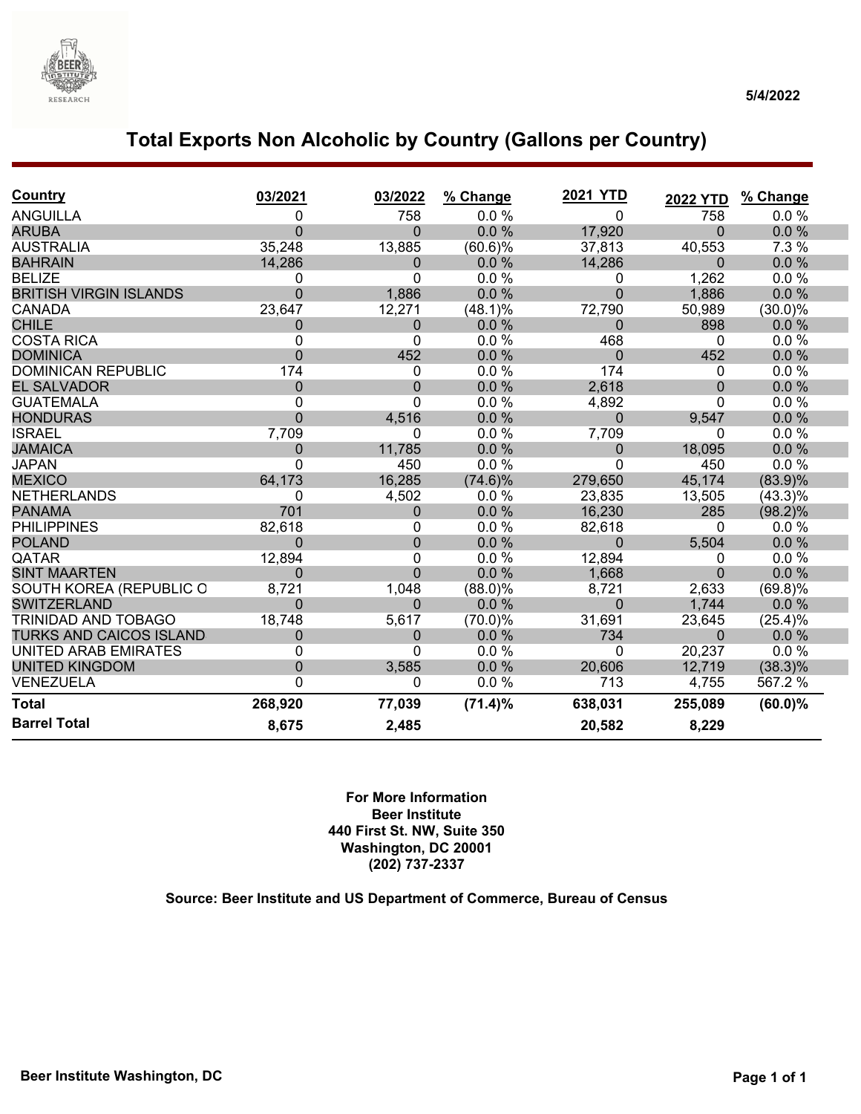

## **Total Exports Non Alcoholic by Country (Gallons per Country)**

| <b>Country</b>                 | 03/2021        | 03/2022          | % Change   | <b>2021 YTD</b> | <b>2022 YTD</b> | % Change   |
|--------------------------------|----------------|------------------|------------|-----------------|-----------------|------------|
| <b>ANGUILLA</b>                | 0              | 758              | 0.0%       | 0               | 758             | 0.0%       |
| <b>ARUBA</b>                   | $\Omega$       | $\Omega$         | 0.0%       | 17,920          | $\Omega$        | 0.0%       |
| <b>AUSTRALIA</b>               | 35,248         | 13,885           | (60.6)%    | 37,813          | 40,553          | 7.3 %      |
| <b>BAHRAIN</b>                 | 14,286         | 0                | 0.0%       | 14,286          | 0               | 0.0%       |
| <b>BELIZE</b>                  | 0              | 0                | 0.0%       | 0               | 1,262           | 0.0%       |
| <b>BRITISH VIRGIN ISLANDS</b>  | $\mathbf 0$    | 1,886            | 0.0%       | $\overline{0}$  | 1,886           | 0.0%       |
| <b>CANADA</b>                  | 23,647         | 12,271           | (48.1)%    | 72,790          | 50,989          | $(30.0)\%$ |
| <b>CHILE</b>                   | $\mathbf 0$    | 0                | $0.0\%$    | 0               | 898             | $0.0\%$    |
| <b>COSTA RICA</b>              | 0              | 0                | 0.0%       | 468             | 0               | 0.0%       |
| <b>DOMINICA</b>                | $\Omega$       | 452              | 0.0 %      | $\overline{0}$  | 452             | 0.0%       |
| <b>DOMINICAN REPUBLIC</b>      | 174            | 0                | 0.0%       | 174             | 0               | 0.0 %      |
| <b>EL SALVADOR</b>             | $\Omega$       | $\mathbf 0$      | 0.0%       | 2,618           | $\overline{0}$  | 0.0%       |
| <b>GUATEMALA</b>               | 0              | 0                | 0.0 %      | 4,892           | 0               | 0.0%       |
| <b>HONDURAS</b>                | $\overline{0}$ | 4,516            | 0.0%       | $\overline{0}$  | 9,547           | 0.0%       |
| <b>ISRAEL</b>                  | 7,709          | 0                | 0.0 %      | 7,709           | 0               | $0.0 \%$   |
| <b>JAMAICA</b>                 | $\Omega$       | 11,785           | 0.0%       | $\mathbf 0$     | 18,095          | 0.0%       |
| <b>JAPAN</b>                   | $\Omega$       | 450              | 0.0 %      | 0               | 450             | 0.0 %      |
| <b>MEXICO</b>                  | 64,173         | 16,285           | $(74.6)\%$ | 279,650         | 45,174          | (83.9)%    |
| <b>NETHERLANDS</b>             | 0              | 4,502            | 0.0%       | 23,835          | 13,505          | $(43.3)\%$ |
| <b>PANAMA</b>                  | 701            | $\boldsymbol{0}$ | 0.0%       | 16,230          | 285             | (98.2)%    |
| <b>PHILIPPINES</b>             | 82,618         | 0                | 0.0%       | 82,618          | 0               | 0.0%       |
| <b>POLAND</b>                  | $\Omega$       | $\boldsymbol{0}$ | 0.0%       | $\mathbf 0$     | 5,504           | 0.0%       |
| QATAR                          | 12,894         | 0                | 0.0%       | 12,894          | 0               | 0.0%       |
| <b>SINT MAARTEN</b>            | $\Omega$       | $\overline{0}$   | 0.0%       | 1,668           | $\overline{0}$  | 0.0%       |
| SOUTH KOREA (REPUBLIC O        | 8,721          | 1,048            | $(88.0)\%$ | 8,721           | 2,633           | $(69.8)\%$ |
| <b>SWITZERLAND</b>             | $\Omega$       | $\overline{0}$   | 0.0%       | $\Omega$        | 1,744           | 0.0%       |
| TRINIDAD AND TOBAGO            | 18,748         | 5,617            | $(70.0)\%$ | 31,691          | 23,645          | (25.4)%    |
| <b>TURKS AND CAICOS ISLAND</b> | $\mathbf 0$    | 0                | 0.0%       | 734             | 0               | 0.0%       |
| <b>UNITED ARAB EMIRATES</b>    | $\mathbf{0}$   | $\Omega$         | 0.0%       | 0               | 20,237          | 0.0%       |
| <b>UNITED KINGDOM</b>          | $\mathbf 0$    | 3,585            | 0.0%       | 20,606          | 12,719          | (38.3)%    |
| VENEZUELA                      | 0              | 0                | 0.0%       | 713             | 4,755           | 567.2 %    |
| <b>Total</b>                   | 268,920        | 77,039           | (71.4)%    | 638,031         | 255,089         | $(60.0)\%$ |
| <b>Barrel Total</b>            | 8,675          | 2,485            |            | 20,582          | 8,229           |            |

**For More Information Beer Institute 440 First St. NW, Suite 350 Washington, DC 20001 (202) 737-2337**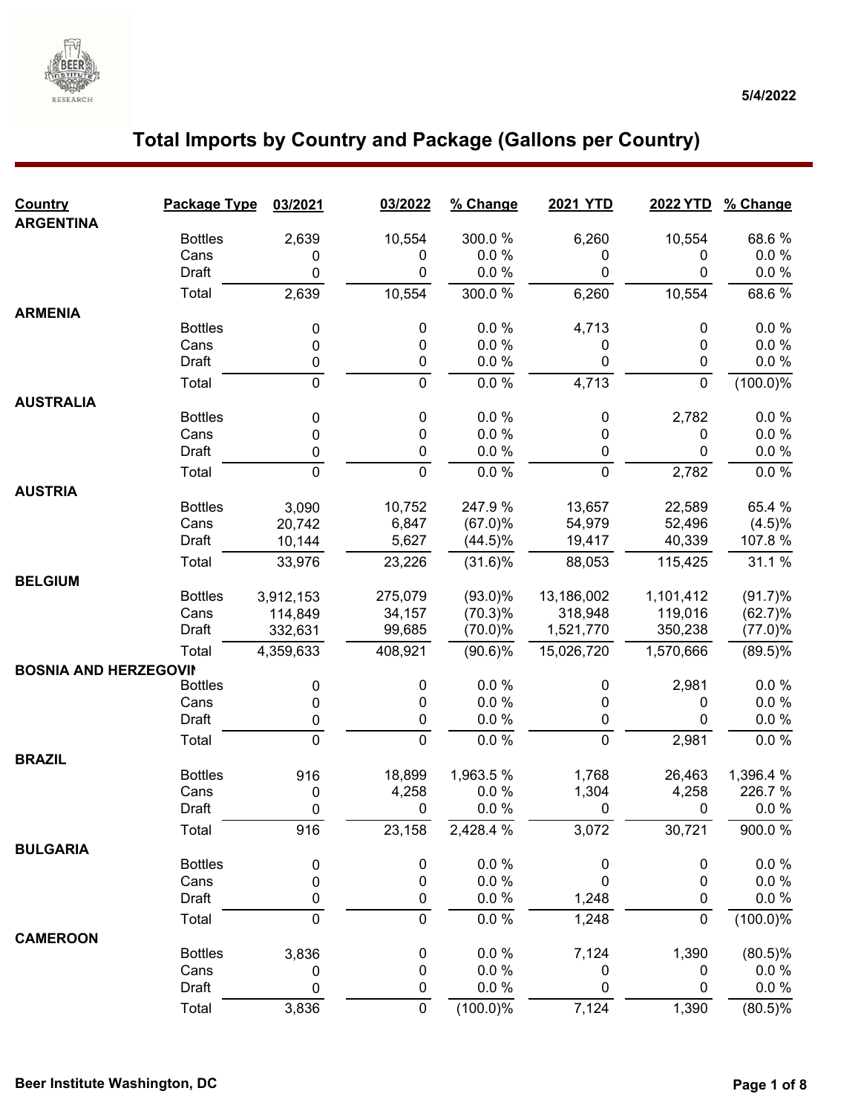

| Country<br><b>ARGENTINA</b>  | Package Type   | 03/2021     | 03/2022     | % Change      | <b>2021 YTD</b>  | 2022 YTD    | % Change             |
|------------------------------|----------------|-------------|-------------|---------------|------------------|-------------|----------------------|
|                              | <b>Bottles</b> | 2,639       | 10,554      | 300.0%        | 6,260            | 10,554      | 68.6%                |
|                              | Cans           | 0           | 0           | 0.0%          | 0                | 0           | $0.0 \%$             |
|                              | Draft          | 0           | 0           | 0.0 %         | 0                | 0           | 0.0 %                |
|                              | Total          | 2,639       | 10,554      | 300.0%        | 6,260            | 10,554      | 68.6%                |
| <b>ARMENIA</b>               |                |             |             |               |                  |             |                      |
|                              | <b>Bottles</b> | 0           | 0           | 0.0%          | 4,713            | 0           | $0.0 \%$             |
|                              | Cans           | 0           | 0           | 0.0%          | 0                | 0           | $0.0 \%$             |
|                              | Draft          | 0           | 0           | 0.0 %         | 0                | $\pmb{0}$   | 0.0 %                |
|                              | Total          | $\mathbf 0$ | $\mathbf 0$ | 0.0 %         | 4,713            | $\mathbf 0$ | (100.0)%             |
| <b>AUSTRALIA</b>             |                |             |             |               |                  |             |                      |
|                              | <b>Bottles</b> | 0           | 0           | 0.0%          | $\pmb{0}$        | 2,782       | 0.0 %                |
|                              | Cans           | 0           | 0           | 0.0 %         | 0                | 0           | 0.0 %                |
|                              | Draft          | 0           | 0           | 0.0 %         | 0                | 0           | 0.0 %                |
|                              | Total          | $\mathbf 0$ | 0           | 0.0 %         | $\mathbf 0$      | 2,782       | 0.0 %                |
| <b>AUSTRIA</b>               |                |             |             |               |                  |             |                      |
|                              | <b>Bottles</b> | 3,090       | 10,752      | 247.9%        | 13,657           | 22,589      | 65.4 %               |
|                              | Cans           | 20,742      | 6,847       | $(67.0)\%$    | 54,979           | 52,496      | (4.5)%               |
|                              | Draft          | 10,144      | 5,627       | $(44.5)\%$    | 19,417           | 40,339      | 107.8%               |
|                              | Total          | 33,976      | 23,226      | (31.6)%       | 88,053           | 115,425     | 31.1 %               |
| <b>BELGIUM</b>               |                |             |             |               |                  |             |                      |
|                              | <b>Bottles</b> | 3,912,153   | 275,079     | $(93.0)\%$    | 13,186,002       | 1,101,412   | (91.7)%              |
|                              | Cans           | 114,849     | 34,157      | $(70.3)\%$    | 318,948          | 119,016     | (62.7)%              |
|                              | Draft          | 332,631     | 99,685      | $(70.0)\%$    | 1,521,770        | 350,238     | $(77.0)\%$           |
|                              | Total          | 4,359,633   | 408,921     | $(90.6)\%$    | 15,026,720       | 1,570,666   | $(89.5)\%$           |
| <b>BOSNIA AND HERZEGOVII</b> |                |             |             |               |                  |             |                      |
|                              | <b>Bottles</b> | 0           | 0           | 0.0 %<br>0.0% | 0                | 2,981       | $0.0 \%$<br>$0.0 \%$ |
|                              | Cans<br>Draft  | 0<br>0      | 0<br>0      | 0.0 %         | 0<br>0           | 0<br>0      | $0.0 \%$             |
|                              |                |             |             |               |                  |             |                      |
|                              | Total          | 0           | 0           | 0.0 %         | $\mathbf 0$      | 2,981       | 0.0 %                |
| <b>BRAZIL</b>                | <b>Bottles</b> | 916         | 18,899      | 1,963.5%      | 1,768            | 26,463      | 1,396.4 %            |
|                              | Cans           | 0           | 4,258       | 0.0%          | 1,304            | 4,258       | 226.7 %              |
|                              | Draft          | 0           | 0           | 0.0%          | 0                | 0           | 0.0 %                |
|                              | Total          | 916         | 23,158      | 2,428.4 %     | 3,072            | 30,721      | 900.0%               |
|                              |                |             |             |               |                  |             |                      |
| <b>BULGARIA</b>              | <b>Bottles</b> | 0           | 0           | 0.0 %         | $\boldsymbol{0}$ | 0           | 0.0 %                |
|                              | Cans           | 0           | 0           | 0.0 %         | 0                | 0           | $0.0 \%$             |
|                              | Draft          | $\pmb{0}$   | 0           | 0.0 %         | 1,248            | 0           | $0.0 \%$             |
|                              | Total          | $\mathbf 0$ | $\pmb{0}$   | 0.0 %         | 1,248            | $\pmb{0}$   | $(100.0)\%$          |
| <b>CAMEROON</b>              |                |             |             |               |                  |             |                      |
|                              | <b>Bottles</b> | 3,836       | 0           | 0.0%          | 7,124            | 1,390       | (80.5)%              |
|                              | Cans           | 0           | 0           | 0.0 %         | 0                | 0           | $0.0 \%$             |
|                              | Draft          | 0           | 0           | 0.0 %         | $\pmb{0}$        | 0           | $0.0 \%$             |
|                              | Total          | 3,836       | $\pmb{0}$   | $(100.0)\%$   | 7,124            | 1,390       | $(80.5)\%$           |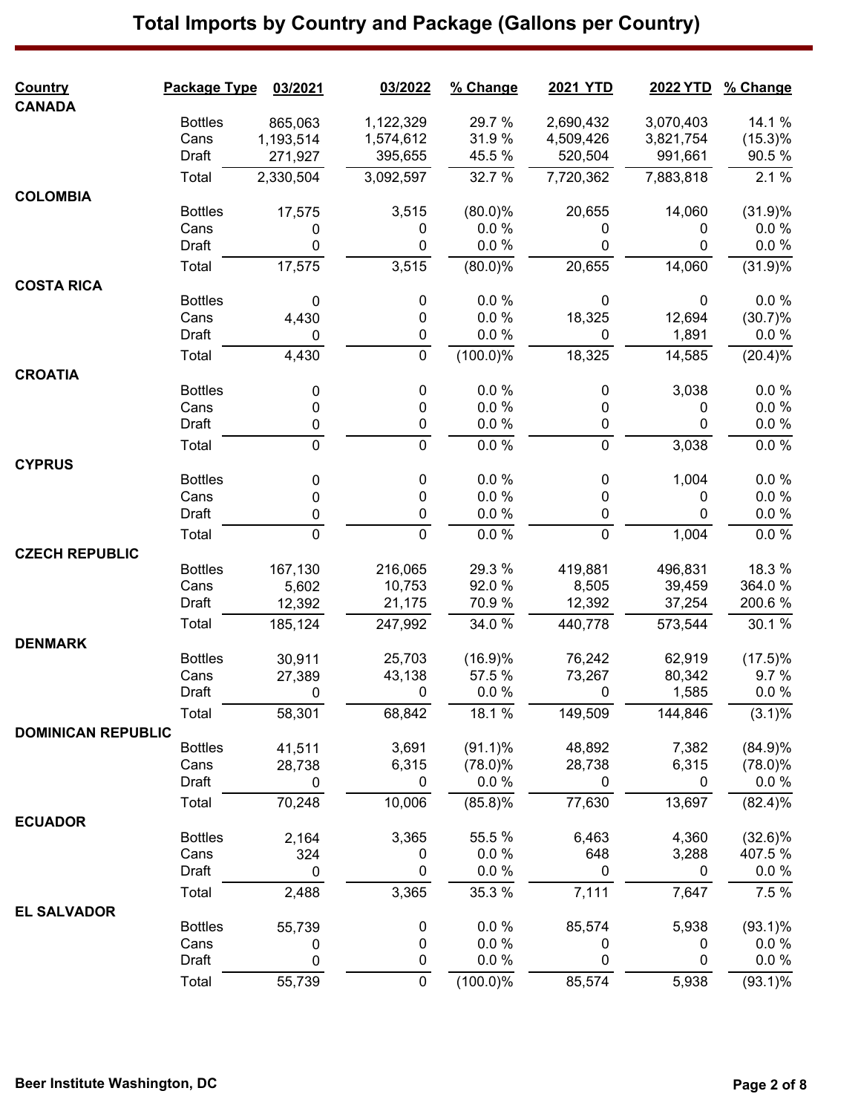| <b>Country</b>            | Package Type   | 03/2021        | 03/2022        | % Change    | <b>2021 YTD</b> | 2022 YTD     | % Change               |
|---------------------------|----------------|----------------|----------------|-------------|-----------------|--------------|------------------------|
| <b>CANADA</b>             |                |                |                |             |                 |              |                        |
|                           | <b>Bottles</b> | 865,063        | 1,122,329      | 29.7 %      | 2,690,432       | 3,070,403    | 14.1 %                 |
|                           | Cans           | 1,193,514      | 1,574,612      | 31.9%       | 4,509,426       | 3,821,754    | (15.3)%                |
|                           | Draft          | 271,927        | 395,655        | 45.5 %      | 520,504         | 991,661      | 90.5%                  |
|                           | Total          | 2,330,504      | 3,092,597      | 32.7 %      | 7,720,362       | 7,883,818    | 2.1%                   |
| <b>COLOMBIA</b>           | <b>Bottles</b> | 17,575         | 3,515          | $(80.0)\%$  | 20,655          | 14,060       | (31.9)%                |
|                           | Cans           | 0              | 0              | 0.0 %       | 0               | 0            | $0.0 \%$               |
|                           | Draft          | 0              | 0              | $0.0 \%$    | 0               | 0            | $0.0 \%$               |
|                           | Total          | 17,575         | 3,515          | $(80.0)\%$  | 20,655          | 14,060       | (31.9)%                |
| <b>COSTA RICA</b>         |                |                |                |             |                 |              |                        |
|                           | <b>Bottles</b> | 0              | 0              | 0.0%        | 0               | 0            | $0.0 \%$               |
|                           | Cans           | 4,430          | 0              | 0.0%        | 18,325          | 12,694       | (30.7)%                |
|                           | Draft          | 0              | $\mathbf 0$    | $0.0 \%$    | 0               | 1,891        | $0.0 \%$               |
|                           | Total          | 4,430          | 0              | (100.0)%    | 18,325          | 14,585       | (20.4)%                |
| <b>CROATIA</b>            |                |                |                |             |                 |              |                        |
|                           | <b>Bottles</b> | 0              | 0              | 0.0%        | 0               | 3,038        | $0.0 \%$               |
|                           | Cans           | $\pmb{0}$      | 0              | 0.0%        | 0               | 0            | $0.0 \%$               |
|                           | Draft          | $\pmb{0}$      | $\pmb{0}$      | 0.0%        | 0               | 0            | 0.0 %                  |
|                           | Total          | $\mathbf 0$    | $\mathbf 0$    | 0.0 %       | $\mathbf 0$     | 3,038        | 0.0 %                  |
| <b>CYPRUS</b>             |                |                |                |             |                 |              |                        |
|                           | <b>Bottles</b> | 0              | 0              | 0.0%        | 0               | 1,004        | $0.0 \%$               |
|                           | Cans           | 0              | 0              | 0.0%        | 0               | 0            | $0.0 \%$               |
|                           | Draft          | 0              | 0              | 0.0 %       | 0               | $\mathbf{0}$ | $0.0 \%$               |
|                           | Total          | $\mathbf 0$    | $\mathbf 0$    | 0.0 %       | $\mathbf 0$     | 1,004        | $0.0 \%$               |
| <b>CZECH REPUBLIC</b>     |                |                |                |             |                 |              |                        |
|                           | <b>Bottles</b> | 167,130        | 216,065        | 29.3 %      | 419,881         | 496,831      | 18.3 %                 |
|                           | Cans           | 5,602          | 10,753         | 92.0%       | 8,505           | 39,459       | 364.0%                 |
|                           | Draft          | 12,392         | 21,175         | 70.9%       | 12,392          | 37,254       | 200.6%                 |
|                           | Total          | 185,124        | 247,992        | 34.0 %      | 440,778         | 573,544      | 30.1 %                 |
| <b>DENMARK</b>            |                |                |                |             |                 |              |                        |
|                           | <b>Bottles</b> | 30,911         | 25,703         | (16.9)%     | 76,242          | 62,919       | $(17.5)\%$             |
|                           | Cans           | 27,389         | 43,138         | 57.5 %      | 73,267          | 80,342       | 9.7%                   |
|                           | Draft          | $\overline{0}$ | $\overline{0}$ | $0.0 \%$    | $\overline{0}$  | 1,585        | $0.0 \%$               |
|                           | Total          | 58,301         | 68,842         | 18.1 %      | 149,509         | 144,846      | $(3.1)\%$              |
| <b>DOMINICAN REPUBLIC</b> | <b>Bottles</b> | 41,511         | 3,691          | $(91.1)\%$  | 48,892          | 7,382        | (84.9)%                |
|                           | Cans           |                | 6,315          | $(78.0)\%$  | 28,738          | 6,315        |                        |
|                           | Draft          | 28,738<br>0    | 0              | $0.0 \%$    | 0               | 0            | $(78.0)\%$<br>$0.0 \%$ |
|                           | Total          | 70,248         | 10,006         | (85.8)%     | 77,630          | 13,697       | (82.4)%                |
| <b>ECUADOR</b>            |                |                |                |             |                 |              |                        |
|                           | <b>Bottles</b> | 2,164          | 3,365          | 55.5 %      | 6,463           | 4,360        | $(32.6)\%$             |
|                           | Cans           | 324            | 0              | 0.0 %       | 648             | 3,288        | 407.5 %                |
|                           | Draft          | $\mathbf 0$    | 0              | 0.0 %       | 0               | $\mathbf 0$  | $0.0 \%$               |
|                           | Total          | 2,488          | 3,365          | 35.3 %      | 7,111           | 7,647        | 7.5 %                  |
| <b>EL SALVADOR</b>        |                |                |                |             |                 |              |                        |
|                           | <b>Bottles</b> | 55,739         | 0              | 0.0%        | 85,574          | 5,938        | $(93.1)\%$             |
|                           | Cans           | 0              | 0              | 0.0%        | 0               | 0            | $0.0 \%$               |
|                           | Draft          | 0              | $\mathbf{0}$   | 0.0%        | 0               | 0            | $0.0 \%$               |
|                           | Total          | 55,739         | $\mathbf 0$    | $(100.0)\%$ | 85,574          | 5,938        | $(93.1)\%$             |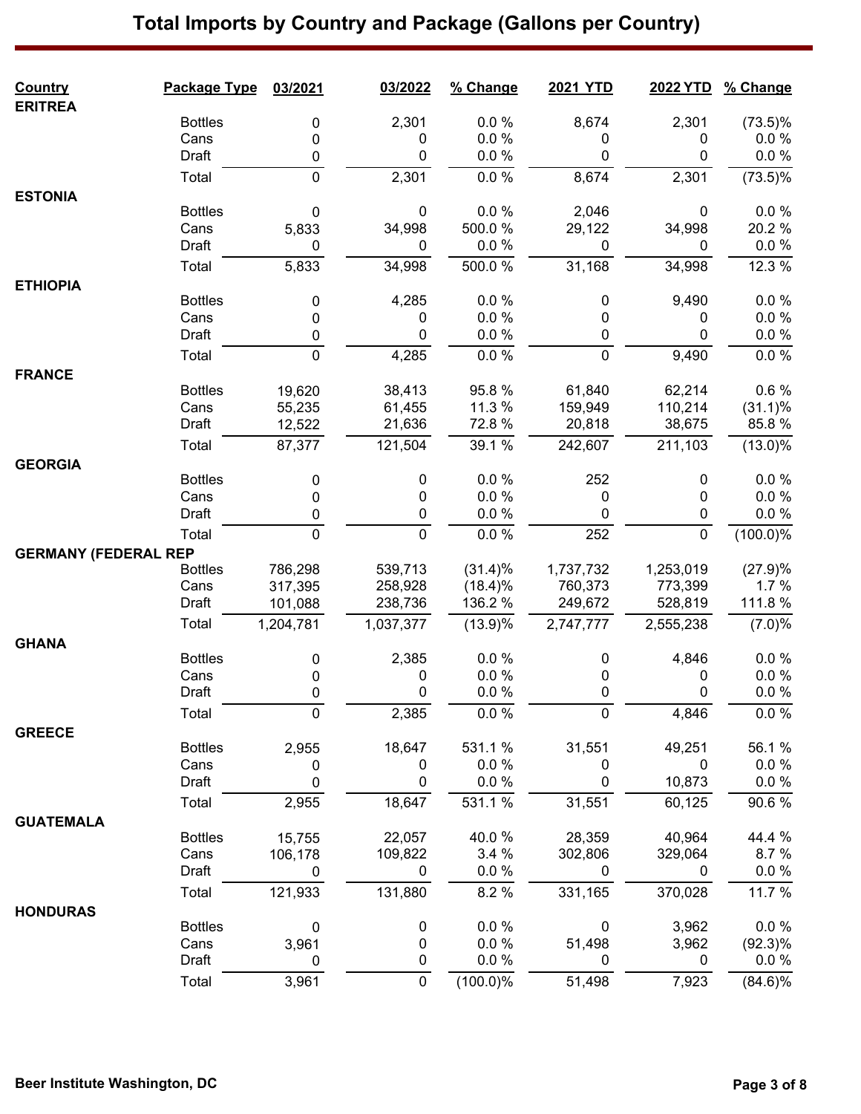### **Country Package Type 03/2021 03/2022 % Change 2021 YTD 2022 YTD % Change ERITREA** Bottles 0 2,301 0.0 % 8,674 2,301 (73.5)%  $\textsf{Cans} \qquad \qquad \textsf{O} \qquad \qquad \textsf{O} \qquad \qquad \textsf{O} \qquad \qquad \textsf{O} \qquad \qquad \textsf{O} \qquad \qquad \textsf{O} \qquad \qquad \textsf{O} \; \qquad \qquad \textsf{O} \; \qquad \qquad \textsf{O} \; \qquad \qquad \textsf{O} \; \qquad \textsf{O} \; \qquad \textsf{O} \; \qquad \textsf{O} \; \qquad \qquad \textsf{O} \; \qquad \qquad \textsf{O} \; \qquad \qquad \textsf{O} \; \qquad \qquad \textsf{$ Draft 0 0 0.0 % 0 0 0.0 % Total 0 2,301 0.0 % 8,674 2,301 (73.5)% **ESTONIA** Bottles 0 0 0.0 % 2,046 0 0.0 % Cans 5,833 34,998 500.0 % 29,122 34,998 20.2 % Draft 0 0 0.0 % 0 0 0.0 % Total 5,833 34,998 500.0 % 31,168 34,998 12.3 % **ETHIOPIA** Bottles 0 4,285 0.0 % 0 9,490 0.0 %  $\textsf{Cans} \qquad \qquad \textsf{O} \qquad \qquad \textsf{O} \qquad \qquad \textsf{O} \qquad \qquad \textsf{O} \qquad \qquad \textsf{O} \qquad \qquad \textsf{O} \qquad \qquad \textsf{O} \; \qquad \qquad \textsf{O} \; \qquad \qquad \textsf{O} \; \qquad \qquad \textsf{O} \; \qquad \textsf{O} \; \qquad \textsf{O} \; \qquad \textsf{O} \; \qquad \qquad \textsf{O} \; \qquad \qquad \textsf{O} \; \qquad \qquad \textsf{O} \; \qquad \qquad \textsf{$ Draft 0 0 0.0 % 0 0 0.0 % Total 0 4,285 0.0 % 0 9,490 0.0 % **FRANCE** Bottles 19,620 38,413 95.8 % 61,840 62,214 0.6 % Cans 55,235 61,455 11.3 % 159,949 110,214 (31.1)% Draft 12,522 21,636 72.8 % 20,818 38,675 85.8 % Total 87,377 121,504 39.1 % 242,607 211,103 (13.0)% **GEORGIA** Bottles 0 0 0.0 % 252 0 0.0 %  $\textsf{Cans} \qquad \qquad \textsf{O} \qquad \qquad \textsf{O} \qquad \qquad \textsf{O} \qquad \qquad \textsf{O} \qquad \qquad \textsf{O} \qquad \qquad \textsf{O} \qquad \qquad \textsf{O} \; \qquad \qquad \textsf{O} \; \qquad \qquad \textsf{O} \; \qquad \qquad \textsf{O} \; \qquad \textsf{O} \; \qquad \textsf{O} \; \qquad \textsf{O} \; \qquad \qquad \textsf{O} \; \qquad \qquad \textsf{O} \; \qquad \qquad \textsf{O} \; \qquad \qquad \textsf{$ Draft 0 0 0.0 % 0 0 0.0 % Total 0 0 0.0 % 252 0 (100.0)% **GERMANY (FEDERAL REP** Bottles 786,298 539,713 (31.4)% 1,737,732 1,253,019 (27.9)% Cans 317,395 258,928 (18.4)% 760,373 773,399 1.7 % Draft 101,088 238,736 136.2 % 249,672 528,819 111.8 % Total 1,204,781 1,037,377 (13.9)% 2,747,777 2,555,238 (7.0)% **GHANA** Bottles 0 2,385 0.0 % 0 4,846 0.0 %  $\textsf{Cans} \qquad \qquad \textsf{O} \qquad \qquad \textsf{O} \qquad \qquad \textsf{O} \qquad \qquad \textsf{O} \qquad \qquad \textsf{O} \qquad \qquad \textsf{O} \qquad \qquad \textsf{O} \; \qquad \qquad \textsf{O} \; \qquad \qquad \textsf{O} \; \qquad \qquad \textsf{O} \; \qquad \textsf{O} \; \qquad \textsf{O} \; \qquad \textsf{O} \; \qquad \qquad \textsf{O} \; \qquad \qquad \textsf{O} \; \qquad \qquad \textsf{O} \; \qquad \qquad \textsf{$ Draft 0 0 0.0 % 0 0 0.0 % Total 0 2,385 0.0 % 0 4,846 0.0 % **GREECE** Bottles 2,955 18,647 531.1 % 31,551 49,251 56.1 %  $\textsf{Cans} \qquad \qquad \textsf{O} \qquad \qquad \textsf{O} \qquad \qquad \textsf{O} \qquad \qquad \textsf{O} \qquad \qquad \textsf{O} \qquad \qquad \textsf{O} \qquad \qquad \textsf{O} \; \qquad \textsf{O} \; \qquad \textsf{O} \; \qquad \textsf{O} \; \textsf{O} \; \textsf{O} \; \textsf{O} \; \textsf{O} \; \textsf{O} \; \textsf{O} \; \textsf{O} \; \textsf{O} \; \textsf{O} \; \textsf{O} \; \textsf{O} \; \textsf{O}$ Draft 0 0 0.0 % 0 10,873 0.0 % Total 2,955 18,647 531.1 % 31,551 60,125 90.6 % **GUATEMALA** Bottles 15,755 22,057 40.0 % 28,359 40,964 44.4 % Cans 106,178 109,822 3.4 % 302,806 329,064 8.7 % Draft 0 0 0.0 % 0 0 0.0 % Total 121,933 131,880 8.2 % 331,165 370,028 11.7 % **HONDURAS** Bottles 0 0 0.0 % 0 3,962 0.0 % Cans 3,961 0 0.0 % 51,498 3,962 (92.3)% Draft 0 0 0.0 % 0 0 0.0 % Total 3,961 0 (100.0)% 51,498 7,923 (84.6)%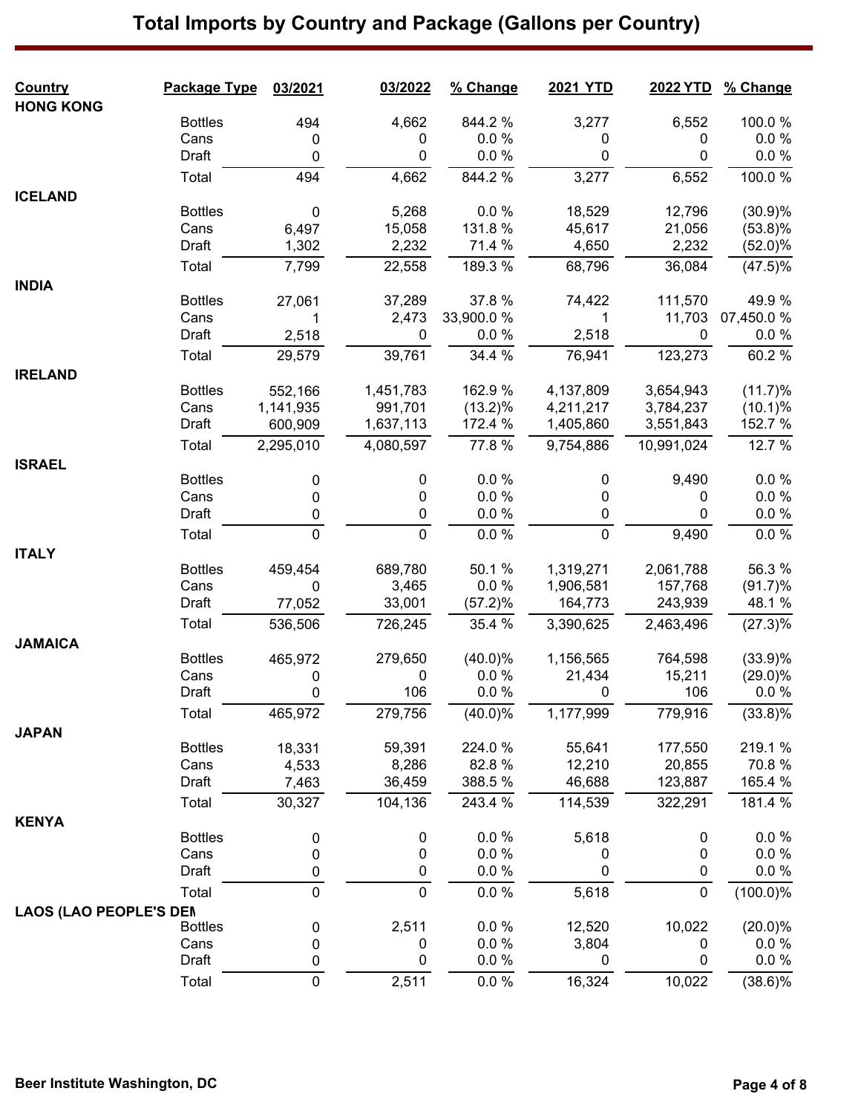### **Country Package Type 03/2021 03/2022 % Change 2021 YTD 2022 YTD % Change HONG KONG** Bottles 494 4,662 844.2 % 3,277 6,552 100.0 %  $\textsf{Cans} \qquad \qquad \textsf{O} \qquad \qquad \textsf{O} \qquad \qquad \textsf{O} \qquad \qquad \textsf{O} \qquad \qquad \textsf{O} \qquad \qquad \textsf{O} \qquad \qquad \textsf{O} \; \qquad \textsf{O} \; \qquad \textsf{O} \; \textsf{O} \; \textsf{O} \; \textsf{O} \; \textsf{O} \; \textsf{O} \; \textsf{O} \; \textsf{O} \; \textsf{O} \; \textsf{O} \; \textsf{O} \; \textsf{O} \; \textsf{O} \; \textsf{O} \; \$ Draft 0 0 0.0 % 0 0 0.0 % Total 494 4,662 844.2 % 3,277 6,552 100.0 % **ICELAND** Bottles 0 5,268 0.0 % 18,529 12,796 (30.9)% Cans 6,497 15,058 131.8 % 45,617 21,056 (53.8)% Draft 1,302 2,232 71.4 % 4,650 2,232 (52.0)% Total 7,799 22,558 189.3 % 68,796 36,084 (47.5)% **INDIA** Bottles 27,061 37,289 37.8 % 74,422 111,570 49.9 % Cans 1 2,473 33,900.0 % 1 11,703 07,450.0 % Draft 2,518 0 0.0 % 2,518 0 0.0 % Total 29,579 39,761 34.4 % 76,941 123,273 60.2 % **IRELAND** Bottles 552,166 1,451,783 162.9 % 4,137,809 3,654,943 (11.7)% Cans 1,141,935 991,701 (13.2)% 4,211,217 3,784,237 (10.1)% Draft 600,909 1,637,113 172.4 % 1,405,860 3,551,843 152.7 % Total 2,295,010 4,080,597 77.8 % 9,754,886 10,991,024 12.7 % **ISRAEL** Bottles 0 0 0.0 % 0 9,490 0.0 %  $\textsf{Cans} \qquad \qquad \textsf{O} \qquad \qquad \textsf{O} \qquad \qquad \textsf{O} \qquad \qquad \textsf{O} \qquad \qquad \textsf{O} \qquad \qquad \textsf{O} \qquad \qquad \textsf{O} \; \qquad \textsf{O} \; \qquad \textsf{O} \; \textsf{O} \; \textsf{O} \; \textsf{O} \; \textsf{O} \; \textsf{O} \; \textsf{O} \; \textsf{O} \; \textsf{O} \; \textsf{O} \; \textsf{O} \; \textsf{O} \; \textsf{O} \; \textsf{O} \; \$ Draft 0 0 0.0 % 0 0 0.0 % Total 0 0 0.0 % 0 9,490 0.0 % **ITALY** Bottles 459,454 689,780 50.1 % 1,319,271 2,061,788 56.3 % Cans 0 3,465 0.0 % 1,906,581 157,768 (91.7)% Draft 77,052 33,001 (57.2)% 164,773 243,939 48.1 % Total 536,506 726,245 35.4 % 3,390,625 2,463,496 (27.3)% **JAMAICA** Bottles 465,972 279,650 (40.0)% 1,156,565 764,598 (33.9)% Cans 0 0 0.0 % 21,434 15,211 (29.0)% Draft 0 106 0.0 % 0 106 0.0 % Total 465,972 279,756 (40.0)% 1,177,999 779,916 (33.8)% **JAPAN** Bottles 18,331 59,391 224.0 % 55,641 177,550 219.1 % Cans 4,533 8,286 82.8 % 12,210 20,855 70.8 % Draft 7,463 36,459 388.5 % 46,688 123,887 165.4 % Total 30,327 104,136 243.4 % 114,539 322,291 181.4 % **KENYA** Bottles 0 0 0.0 % 5,618 0 0.0 %  $\textsf{Cans} \qquad \qquad \textsf{O} \qquad \qquad \textsf{O} \qquad \qquad \textsf{O} \qquad \qquad \textsf{O} \qquad \qquad \textsf{O} \qquad \qquad \textsf{O} \qquad \qquad \textsf{O} \; \qquad \textsf{O} \; \qquad \textsf{O} \; \textsf{O} \; \textsf{O} \; \textsf{O} \; \textsf{O} \; \textsf{O} \; \textsf{O} \; \textsf{O} \; \textsf{O} \; \textsf{O} \; \textsf{O} \; \textsf{O} \; \textsf{O} \; \textsf{O} \; \$ Draft 0 0 0.0 % 0 0 0.0 % Total 0 0 0.0 % 5,618 0 (100.0)% **LAOS (LAO PEOPLE'S DEMOCRATIC REPUBLIC)** Bottles 0 2,511 0.0 % 12,520 10,022 (20.0)%  $\textsf{Cans} \qquad \qquad \textsf{O} \qquad \qquad \textsf{O} \qquad \qquad \textsf{O} \; \qquad \textsf{O} \; \textsf{O} \; \qquad \textsf{O} \; \qquad \textsf{O} \; \textsf{O} \; \qquad \textsf{O} \; \textsf{O} \; \textsf{O} \; \textsf{O} \; \textsf{O} \; \textsf{O} \; \textsf{O} \; \textsf{O} \; \textsf{O} \; \textsf{O} \; \textsf{O} \; \textsf{O} \; \textsf{O} \; \textsf{O} \; \textsf{O} \; \textsf$ Draft 0 0 0.0 % 0 0 0.0 % Total 0 2,511 0.0 % 16,324 10,022 (38.6)%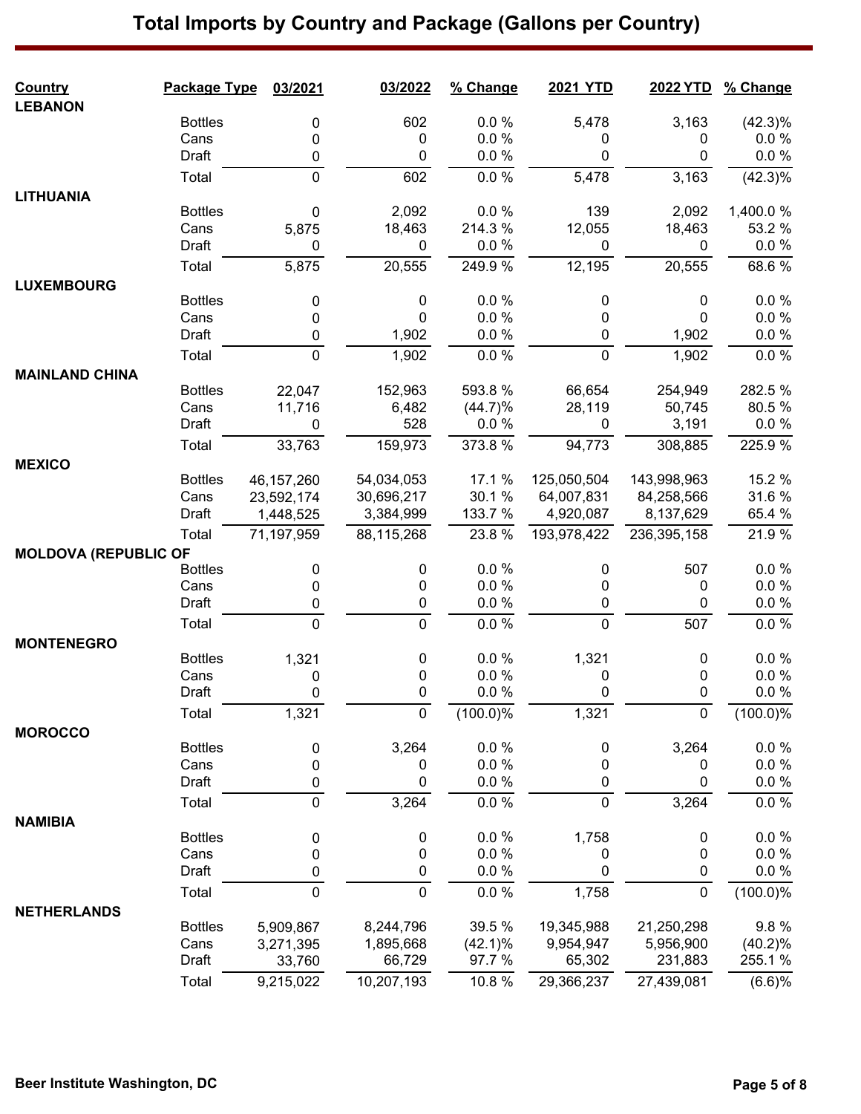### **Country Package Type 03/2021 03/2022 % Change 2021 YTD 2022 YTD % Change LEBANON** Bottles 0 602 0.0 % 5,478 3,163 (42.3)%  $\textsf{Cans} \qquad \qquad \textsf{O} \qquad \qquad \textsf{O} \qquad \qquad \textsf{O} \qquad \qquad \textsf{O} \qquad \qquad \textsf{O} \qquad \qquad \textsf{O} \qquad \qquad \textsf{O} \; \qquad \qquad \textsf{O} \; \qquad \qquad \textsf{O} \; \qquad \qquad \textsf{O} \; \qquad \textsf{O} \; \qquad \textsf{O} \; \qquad \textsf{O} \; \qquad \qquad \textsf{O} \; \qquad \qquad \textsf{O} \; \qquad \qquad \textsf{O} \; \qquad \qquad \textsf{$ Draft 0 0 0.0 % 0 0 0.0 % Total 0 602 0.0 % 5,478 3,163 (42.3)% **LITHUANIA** Bottles 0 2,092 0.0 % 139 2,092 1,400.0 % Cans 5,875 18,463 214.3 % 12,055 18,463 53.2 % Draft 0 0 0.0 % 0 0 0.0 % Total 5,875 20,555 249.9 % 12,195 20,555 68.6 % **LUXEMBOURG** Bottles 0 0 0.0 % 0 0 0.0 %  $\textsf{Cans} \qquad \qquad \textsf{O} \qquad \qquad \textsf{O} \qquad \qquad \textsf{O} \qquad \qquad \textsf{O} \qquad \qquad \textsf{O} \qquad \qquad \textsf{O} \qquad \qquad \textsf{O} \; \qquad \qquad \textsf{O} \; \qquad \qquad \textsf{O} \; \qquad \qquad \textsf{O} \; \qquad \textsf{O} \; \qquad \textsf{O} \; \qquad \textsf{O} \; \qquad \qquad \textsf{O} \; \qquad \qquad \textsf{O} \; \qquad \qquad \textsf{O} \; \qquad \qquad \textsf{$ Draft 0 1,902 0.0 % 0 1,902 0.0 % Total 0 1,902 0.0 % 0 1,902 0.0 % **MAINLAND CHINA** Bottles 22,047 152,963 593.8 % 66,654 254,949 282.5 % Cans 11,716 6,482 (44.7)% 28,119 50,745 80.5 % Draft 0 528 0.0 % 0 3,191 0.0 % Total 33,763 159,973 373.8 % 94,773 308,885 225.9 % **MEXICO** Bottles 46,157,260 54,034,053 17.1 % 125,050,504 143,998,963 15.2 % Cans 23,592,174 30,696,217 30.1 % 64,007,831 84,258,566 31.6 % Draft 1,448,525 3,384,999 133.7 % 4,920,087 8,137,629 65.4 % Total 71,197,959 88,115,268 23.8 % 193,978,422 236,395,158 21.9 % **MOLDOVA (REPUBLIC OF**<br>Bottles Bottles 0 0 0.0 % 0 507 0.0 %  $\textsf{Cans} \qquad \qquad \textsf{O} \qquad \qquad \textsf{O} \qquad \qquad \textsf{O} \qquad \qquad \textsf{O} \qquad \qquad \textsf{O} \qquad \qquad \textsf{O} \qquad \qquad \textsf{O} \; \qquad \textsf{O} \; \qquad \textsf{O} \; \qquad \textsf{O} \; \textsf{O} \; \textsf{O} \; \textsf{O} \; \textsf{O} \; \textsf{O} \; \textsf{O} \; \textsf{O} \; \textsf{O} \; \textsf{O} \; \textsf{O} \; \textsf{O} \; \textsf{O}$ Draft 0 0 0.0 % 0 0 0.0 % Total 0 0 0.0 % 0 507 0.0 % **MONTENEGRO** Bottles 1,321 0 0.0 % 1,321 0 0.0 %  $\textsf{Cans} \qquad \qquad \textsf{O} \qquad \qquad \textsf{O} \qquad \qquad \textsf{O} \qquad \qquad \textsf{O} \qquad \qquad \textsf{O} \qquad \qquad \textsf{O} \qquad \qquad \textsf{O} \; \qquad \qquad \textsf{O} \; \qquad \qquad \textsf{O} \; \qquad \qquad \textsf{O} \; \qquad \textsf{O} \; \qquad \textsf{O} \; \qquad \textsf{O} \; \qquad \qquad \textsf{O} \; \qquad \qquad \textsf{O} \; \qquad \qquad \textsf{O} \; \qquad \qquad \textsf{$ Draft 0 0 0.0 % 0 0 0.0 % Total 1,321 0 (100.0)% 1,321 0 (100.0)% **MOROCCO** Bottles 0 3,264 0.0 % 0 3,264 0.0 %  $\textsf{Cans} \qquad \qquad \textsf{O} \qquad \qquad \textsf{O} \qquad \qquad \textsf{O} \qquad \qquad \textsf{O} \qquad \qquad \textsf{O} \qquad \qquad \textsf{O} \qquad \qquad \textsf{O} \; \qquad \textsf{O} \; \qquad \textsf{O} \; \qquad \textsf{O} \; \textsf{O} \; \textsf{O} \; \textsf{O} \; \textsf{O} \; \textsf{O} \; \textsf{O} \; \textsf{O} \; \textsf{O} \; \textsf{O} \; \textsf{O} \; \textsf{O} \; \textsf{O}$ Draft 0 0 0.0 % 0 0 0.0 % Total 0 3,264 0.0 % 0 3,264 0.0 % **NAMIBIA** Bottles 0 0 0.0 % 1,758 0 0.0 %  $\textsf{Cans} \qquad \qquad \textsf{O} \qquad \qquad \textsf{O} \qquad \qquad \textsf{O} \qquad \qquad \textsf{O} \qquad \qquad \textsf{O} \qquad \qquad \textsf{O} \qquad \qquad \textsf{O} \; \qquad \qquad \textsf{O} \; \qquad \qquad \textsf{O} \; \qquad \qquad \textsf{O} \; \qquad \textsf{O} \; \qquad \textsf{O} \; \qquad \textsf{O} \; \qquad \qquad \textsf{O} \; \qquad \qquad \textsf{O} \; \qquad \qquad \textsf{O} \; \qquad \qquad \textsf{$ Draft 0 0 0.0 % 0 0 0.0 % Total 0 0 0.0 % 1,758 0 (100.0)% **NETHERLANDS** Bottles 5,909,867 8,244,796 39.5 % 19,345,988 21,250,298 9.8 % Cans 3,271,395 1,895,668 (42.1)% 9,954,947 5,956,900 (40.2)% Draft 33,760 66,729 97.7 % 65,302 231,883 255.1 % Total 9,215,022 10,207,193 10.8 % 29,366,237 27,439,081 (6.6)%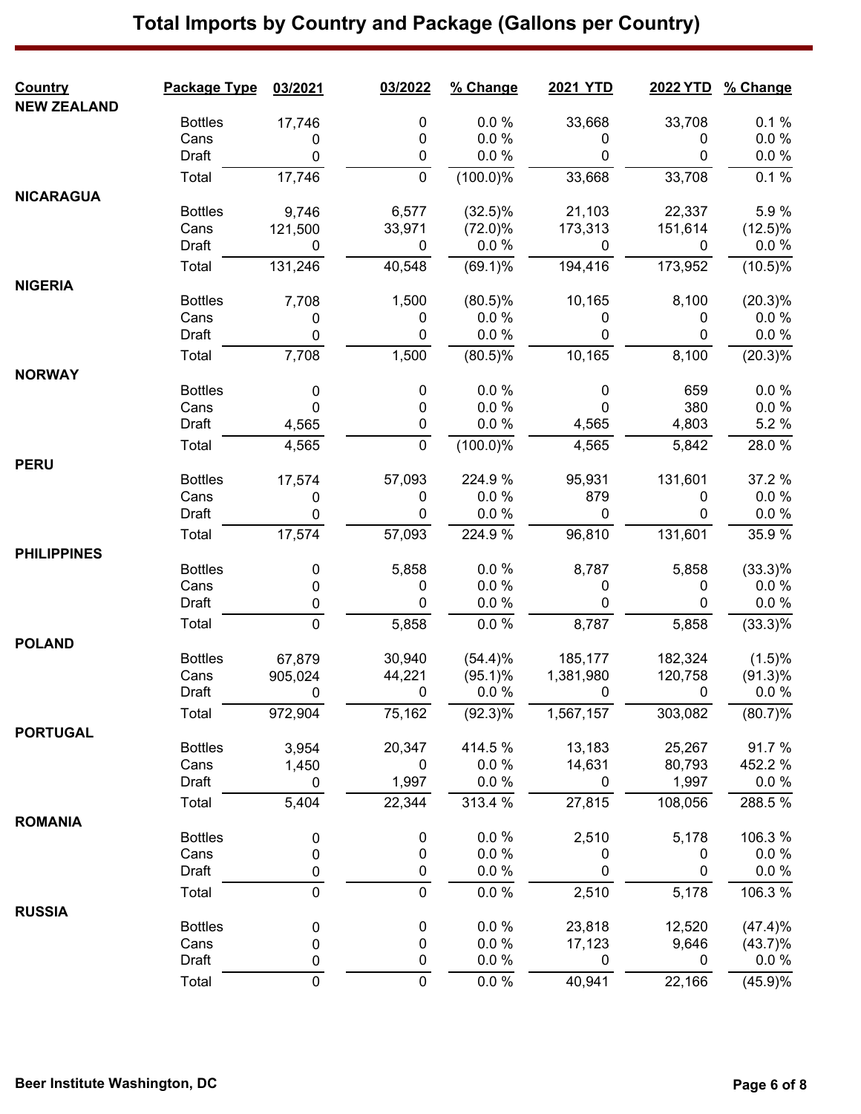| <b>Country</b>     | Package Type   | 03/2021        | 03/2022     | % Change         | <b>2021 YTD</b>   |                | 2022 YTD % Change    |
|--------------------|----------------|----------------|-------------|------------------|-------------------|----------------|----------------------|
| <b>NEW ZEALAND</b> | <b>Bottles</b> | 17,746         | 0           | 0.0%             | 33,668            | 33,708         | 0.1%                 |
|                    | Cans           | 0              | 0           | 0.0%             | 0                 | 0              | $0.0 \%$             |
|                    | Draft          | 0              | $\mathbf 0$ | 0.0%             | 0                 | 0              | 0.0 %                |
|                    | Total          | 17,746         | $\mathbf 0$ | $(100.0)\%$      | 33,668            | 33,708         | $0.1\%$              |
| <b>NICARAGUA</b>   |                |                |             |                  |                   |                |                      |
|                    | <b>Bottles</b> | 9,746          | 6,577       | $(32.5)\%$       | 21,103            | 22,337         | 5.9%                 |
|                    | Cans           | 121,500        | 33,971      | $(72.0)\%$       | 173,313           | 151,614        | $(12.5)\%$           |
|                    | Draft          | $\mathbf{0}$   | $\mathbf 0$ | $0.0 \%$         | 0                 | 0              | $0.0 \%$             |
|                    | Total          | 131,246        | 40,548      | $(69.1)\%$       | 194,416           | 173,952        | $(10.5)\%$           |
| <b>NIGERIA</b>     |                |                |             |                  |                   |                |                      |
|                    | <b>Bottles</b> | 7,708          | 1,500       | $(80.5)\%$       | 10,165            | 8,100          | (20.3)%              |
|                    | Cans           | 0              | 0           | 0.0%             | 0                 | 0              | $0.0 \%$             |
|                    | Draft          | $\mathbf 0$    | 0           | 0.0%             | 0                 | 0              | $0.0 \%$             |
|                    | Total          | 7,708          | 1,500       | $(80.5)\%$       | 10,165            | 8,100          | $(20.3)\%$           |
| <b>NORWAY</b>      | <b>Bottles</b> | 0              | 0           | 0.0%             | $\mathbf 0$       | 659            | 0.0%                 |
|                    | Cans           | $\mathbf{0}$   | 0           | 0.0%             | $\Omega$          | 380            | $0.0 \%$             |
|                    | Draft          | 4,565          | 0           | 0.0 %            | 4,565             | 4,803          | 5.2 %                |
|                    | Total          | 4,565          | $\mathbf 0$ | (100.0)%         | 4,565             | 5,842          | 28.0%                |
| <b>PERU</b>        |                |                |             |                  |                   |                |                      |
|                    | <b>Bottles</b> | 17,574         | 57,093      | 224.9%           | 95,931            | 131,601        | 37.2 %               |
|                    | Cans           | 0              | 0           | 0.0%             | 879               | 0              | $0.0 \%$             |
|                    | Draft          | 0              | 0           | $0.0 \%$         | 0                 | 0              | $0.0 \%$             |
|                    | Total          | 17,574         | 57,093      | 224.9%           | 96,810            | 131,601        | 35.9 %               |
| <b>PHILIPPINES</b> |                |                |             |                  |                   |                |                      |
|                    | <b>Bottles</b> | 0              | 5,858       | $0.0 \%$<br>0.0% | 8,787             | 5,858          | $(33.3)\%$           |
|                    | Cans<br>Draft  | 0<br>$\pmb{0}$ | 0<br>0      | 0.0%             | 0<br>0            | 0<br>0         | $0.0 \%$<br>$0.0 \%$ |
|                    |                | $\mathbf 0$    |             |                  |                   |                |                      |
|                    | Total          |                | 5,858       | 0.0%             | 8,787             | 5,858          | $(33.3)\%$           |
| <b>POLAND</b>      | <b>Bottles</b> | 67,879         | 30,940      | (54.4)%          | 185,177           | 182,324        | (1.5)%               |
|                    | Cans           | 905,024        | 44,221      | $(95.1)\%$       | 1,381,980         | 120,758        | $(91.3)\%$           |
|                    | Draft          | $\overline{0}$ |             |                  | $0\qquad 0.0\%$ 0 | $\overline{0}$ | $0.0 \%$             |
|                    | Total          | 972,904        | 75,162      | $(92.3)\%$       | 1,567,157         | 303,082        | (80.7)%              |
| <b>PORTUGAL</b>    |                |                |             |                  |                   |                |                      |
|                    | <b>Bottles</b> | 3,954          | 20,347      | 414.5 %          | 13,183            | 25,267         | 91.7%                |
|                    | Cans           | 1,450          | $\mathbf 0$ | 0.0%             | 14,631            | 80,793         | 452.2 %              |
|                    | Draft          | 0              | 1,997       | 0.0 %            | 0                 | 1,997          | $0.0 \%$             |
|                    | Total          | 5,404          | 22,344      | 313.4 %          | 27,815            | 108,056        | 288.5%               |
| <b>ROMANIA</b>     |                |                |             |                  |                   |                |                      |
|                    | <b>Bottles</b> | 0              | 0           | 0.0%             | 2,510             | 5,178          | 106.3%               |
|                    | Cans           | 0              | 0           | 0.0%             | 0                 | 0              | $0.0 \%$             |
|                    | Draft          | 0              | 0           | 0.0 %            | 0                 | 0              | $0.0\ \%$            |
|                    | Total          | $\mathbf 0$    | 0           | 0.0 %            | 2,510             | 5,178          | 106.3%               |
| <b>RUSSIA</b>      | <b>Bottles</b> | 0              | 0           | 0.0 %            | 23,818            | 12,520         | (47.4)%              |
|                    | Cans           | 0              | 0           | 0.0 %            | 17,123            | 9,646          | $(43.7)\%$           |
|                    | Draft          | 0              | 0           | 0.0 %            | 0                 | 0              | $0.0 \%$             |
|                    | Total          | $\mathbf 0$    | $\mathbf 0$ | $0.0 \%$         | 40,941            | 22,166         | (45.9)%              |
|                    |                |                |             |                  |                   |                |                      |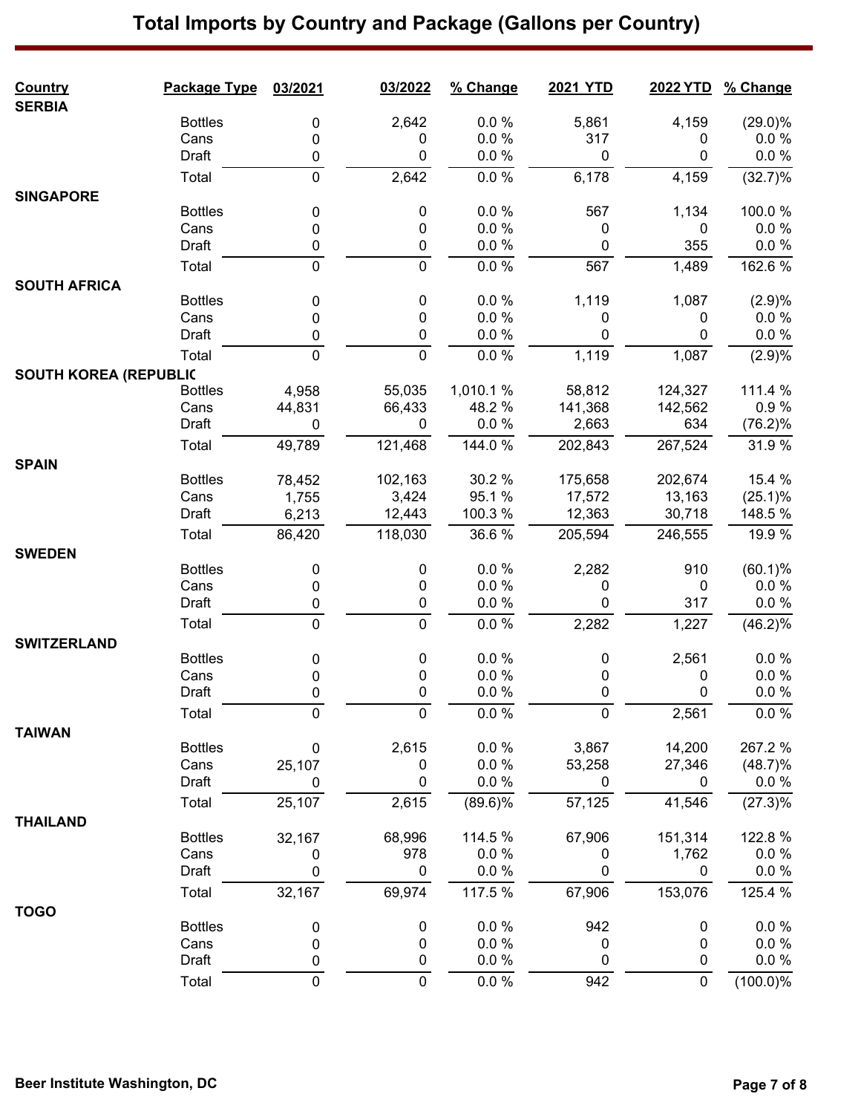| <b>Country</b>               | Package Type   | 03/2021     | 03/2022        | % Change   | 2021 YTD    | <b>2022 YTD</b> | % Change               |
|------------------------------|----------------|-------------|----------------|------------|-------------|-----------------|------------------------|
| <b>SERBIA</b>                | <b>Bottles</b> |             | 2,642          | 0.0 %      | 5,861       | 4,159           |                        |
|                              | Cans           | 0<br>0      | 0              | 0.0 %      | 317         | 0               | $(29.0)\%$<br>$0.0 \%$ |
|                              | Draft          | $\pmb{0}$   | 0              | 0.0 %      | $\mathbf 0$ | 0               | $0.0 \%$               |
|                              | Total          | $\mathbf 0$ | 2,642          | 0.0 %      | 6,178       | 4,159           | (32.7)%                |
| <b>SINGAPORE</b>             |                |             |                |            |             |                 |                        |
|                              | <b>Bottles</b> | 0           | 0              | 0.0 %      | 567         | 1,134           | 100.0%                 |
|                              | Cans           | 0           | 0              | $0.0 \%$   | 0           | 0               | $0.0 \%$               |
|                              | Draft          | 0           | 0              | 0.0 %      | $\mathbf 0$ | 355             | $0.0 \%$               |
|                              | Total          | $\pmb{0}$   | $\mathbf 0$    | $0.0 \%$   | 567         | 1,489           | 162.6%                 |
| <b>SOUTH AFRICA</b>          |                |             |                |            |             |                 |                        |
|                              | <b>Bottles</b> | 0           | 0              | 0.0 %      | 1,119       | 1,087           | (2.9)%                 |
|                              | Cans           | 0           | 0              | 0.0%       | 0           | 0               | $0.0 \%$               |
|                              | Draft          | 0           | 0              | 0.0 %      | 0           | 0               | $0.0 \%$               |
|                              | Total          | $\mathbf 0$ | $\overline{0}$ | 0.0 %      | 1,119       | 1,087           | (2.9)%                 |
| <b>SOUTH KOREA (REPUBLIC</b> |                |             |                |            |             |                 |                        |
|                              | <b>Bottles</b> | 4,958       | 55,035         | 1,010.1%   | 58,812      | 124,327         | 111.4 %                |
|                              | Cans           | 44,831      | 66,433         | 48.2 %     | 141,368     | 142,562         | 0.9%                   |
|                              | Draft          | 0           | 0              | 0.0 %      | 2,663       | 634             | $(76.2)\%$             |
|                              | Total          | 49,789      | 121,468        | 144.0 %    | 202,843     | 267,524         | 31.9%                  |
| <b>SPAIN</b>                 |                |             |                |            |             |                 |                        |
|                              | <b>Bottles</b> | 78,452      | 102,163        | 30.2 %     | 175,658     | 202,674         | 15.4 %                 |
|                              | Cans           | 1,755       | 3,424          | 95.1%      | 17,572      | 13,163          | (25.1)%                |
|                              | Draft          | 6,213       | 12,443         | 100.3%     | 12,363      | 30,718          | 148.5 %                |
|                              | Total          | 86,420      | 118,030        | 36.6%      | 205,594     | 246,555         | 19.9 %                 |
| <b>SWEDEN</b>                | <b>Bottles</b> |             | 0              | 0.0 %      | 2,282       | 910             | $(60.1)\%$             |
|                              | Cans           | 0           |                | 0.0%       |             | 0               | $0.0 \%$               |
|                              | Draft          | 0           | 0<br>0         | 0.0 %      | 0<br>0      | 317             | $0.0 \%$               |
|                              |                | $\pmb{0}$   |                |            |             |                 |                        |
|                              | Total          | $\mathbf 0$ | $\mathbf 0$    | 0.0 %      | 2,282       | 1,227           | (46.2)%                |
| <b>SWITZERLAND</b>           | <b>Bottles</b> |             | 0              | 0.0%       | 0           | 2,561           | 0.0%                   |
|                              | Cans           | 0<br>0      | 0              | 0.0 %      | 0           | 0               | $0.0 \%$               |
|                              | Draft          | 0           | 0              | 0.0%       | $\Omega$    | 0               | $0.0 \%$               |
|                              | Total          | 0           | 0              | $0.0 \%$   | $\mathbf 0$ | 2,561           | $0.0 \%$               |
| <b>TAIWAN</b>                |                |             |                |            |             |                 |                        |
|                              | <b>Bottles</b> | 0           | 2,615          | 0.0%       | 3,867       | 14,200          | 267.2%                 |
|                              | Cans           | 25,107      | 0              | 0.0 %      | 53,258      | 27,346          | $(48.7)\%$             |
|                              | Draft          | 0           | 0              | 0.0 %      | 0           | $\mathbf 0$     | $0.0 \%$               |
|                              | Total          | 25,107      | 2,615          | $(89.6)\%$ | 57,125      | 41,546          | (27.3)%                |
| <b>THAILAND</b>              |                |             |                |            |             |                 |                        |
|                              | <b>Bottles</b> | 32,167      | 68,996         | 114.5 %    | 67,906      | 151,314         | 122.8%                 |
|                              | Cans           | 0           | 978            | 0.0%       | 0           | 1,762           | $0.0 \%$               |
|                              | Draft          | 0           | 0              | 0.0 %      | 0           | 0               | $0.0 \%$               |
|                              | Total          | 32,167      | 69,974         | 117.5 %    | 67,906      | 153,076         | 125.4 %                |
| <b>TOGO</b>                  |                |             |                |            |             |                 |                        |
|                              | <b>Bottles</b> | 0           | 0              | 0.0 %      | 942         | 0               | 0.0%                   |
|                              | Cans           | 0           | 0              | 0.0 %      | 0           | 0               | $0.0 \%$               |
|                              | Draft          | 0           | 0              | 0.0 %      | 0           | 0               | 0.0 %                  |
|                              | Total          | 0           | $\mathbf 0$    | $0.0 \%$   | 942         | $\pmb{0}$       | $(100.0)\%$            |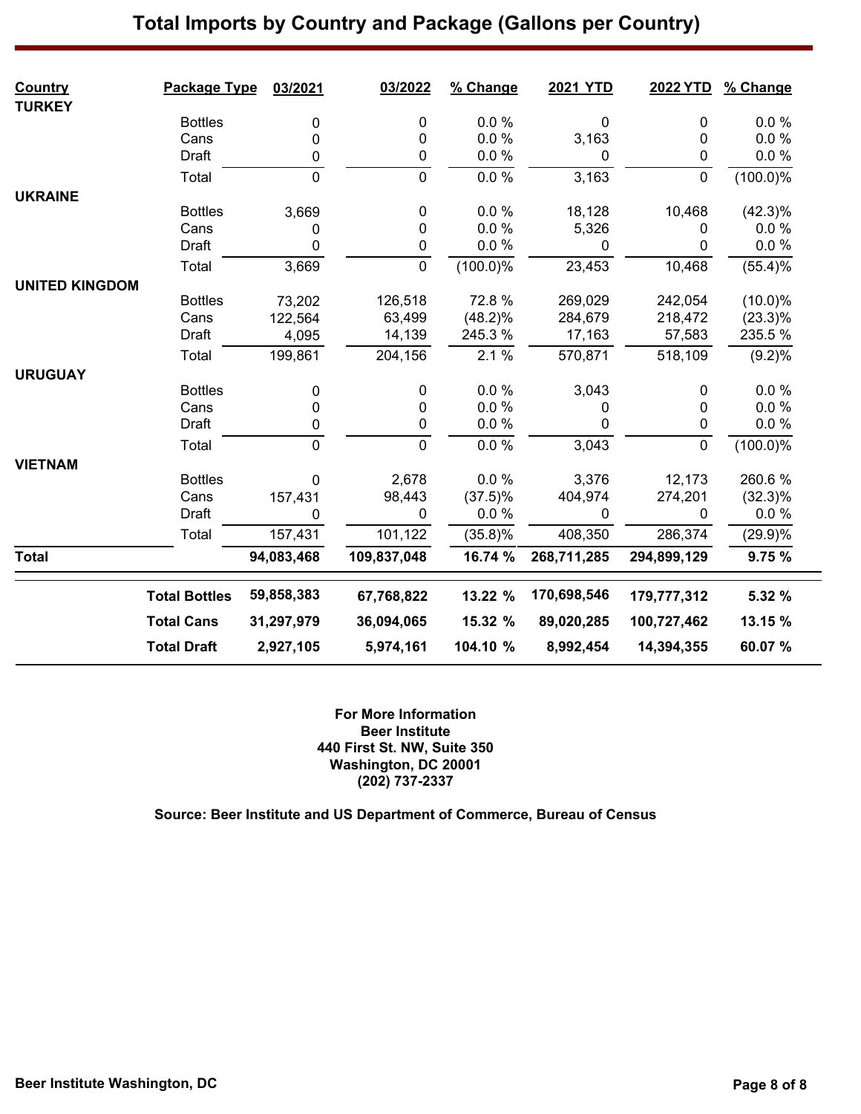| <b>Country</b><br><b>TURKEY</b> | Package Type         | 03/2021     | 03/2022     | % Change    | <b>2021 YTD</b> | 2022 YTD    | % Change    |
|---------------------------------|----------------------|-------------|-------------|-------------|-----------------|-------------|-------------|
|                                 | <b>Bottles</b>       | 0           | 0           | 0.0 %       | 0               | 0           | 0.0%        |
|                                 | Cans                 | 0           | 0           | 0.0 %       | 3,163           | 0           | 0.0 %       |
|                                 | Draft                | 0           | 0           | 0.0 %       | 0               | 0           | 0.0 %       |
|                                 | Total                | $\mathbf 0$ | $\mathbf 0$ | $0.0 \%$    | 3,163           | $\pmb{0}$   | (100.0)%    |
| <b>UKRAINE</b>                  |                      |             |             |             |                 |             |             |
|                                 | <b>Bottles</b>       | 3,669       | $\pmb{0}$   | 0.0%        | 18,128          | 10,468      | (42.3)%     |
|                                 | Cans                 | 0           | 0           | 0.0%        | 5,326           | 0           | 0.0%        |
|                                 | Draft                | 0           | 0           | 0.0 %       | $\mathbf{0}$    | 0           | 0.0 %       |
|                                 | Total                | 3,669       | $\mathbf 0$ | $(100.0)\%$ | 23,453          | 10,468      | (55.4)%     |
| <b>UNITED KINGDOM</b>           |                      |             |             |             |                 |             |             |
|                                 | <b>Bottles</b>       | 73,202      | 126,518     | 72.8%       | 269,029         | 242,054     | $(10.0)\%$  |
|                                 | Cans                 | 122,564     | 63,499      | $(48.2)\%$  | 284,679         | 218,472     | $(23.3)\%$  |
|                                 | Draft                | 4,095       | 14,139      | 245.3%      | 17,163          | 57,583      | 235.5 %     |
|                                 | Total                | 199,861     | 204,156     | 2.1%        | 570,871         | 518,109     | (9.2)%      |
| <b>URUGUAY</b>                  |                      |             |             |             |                 |             |             |
|                                 | <b>Bottles</b>       | 0           | 0           | 0.0 %       | 3,043           | 0           | 0.0%        |
|                                 | Cans                 | 0           | 0           | 0.0 %       | 0               | 0           | 0.0%        |
|                                 | Draft                | 0           | 0           | 0.0%        | 0               | 0           | 0.0%        |
|                                 | Total                | $\pmb{0}$   | $\pmb{0}$   | 0.0 %       | 3,043           | $\pmb{0}$   | $(100.0)\%$ |
| <b>VIETNAM</b>                  |                      |             |             |             |                 |             |             |
|                                 | <b>Bottles</b>       | 0           | 2,678       | 0.0 %       | 3,376           | 12,173      | 260.6%      |
|                                 | Cans                 | 157,431     | 98,443      | $(37.5)\%$  | 404,974         | 274,201     | $(32.3)\%$  |
|                                 | Draft                | 0           | 0           | 0.0%        | 0               | 0           | 0.0%        |
|                                 | Total                | 157,431     | 101,122     | $(35.8)\%$  | 408,350         | 286,374     | (29.9)%     |
| <b>Total</b>                    |                      | 94,083,468  | 109,837,048 | 16.74 %     | 268,711,285     | 294,899,129 | 9.75%       |
|                                 | <b>Total Bottles</b> | 59,858,383  | 67,768,822  | 13.22 %     | 170,698,546     | 179,777,312 | 5.32 %      |
|                                 | <b>Total Cans</b>    | 31,297,979  | 36,094,065  | 15.32 %     | 89,020,285      | 100,727,462 | 13.15 %     |
|                                 | <b>Total Draft</b>   | 2,927,105   | 5,974,161   | 104.10 %    | 8,992,454       | 14,394,355  | 60.07%      |

**For More Information Beer Institute 440 First St. NW, Suite 350 Washington, DC 20001 (202) 737-2337**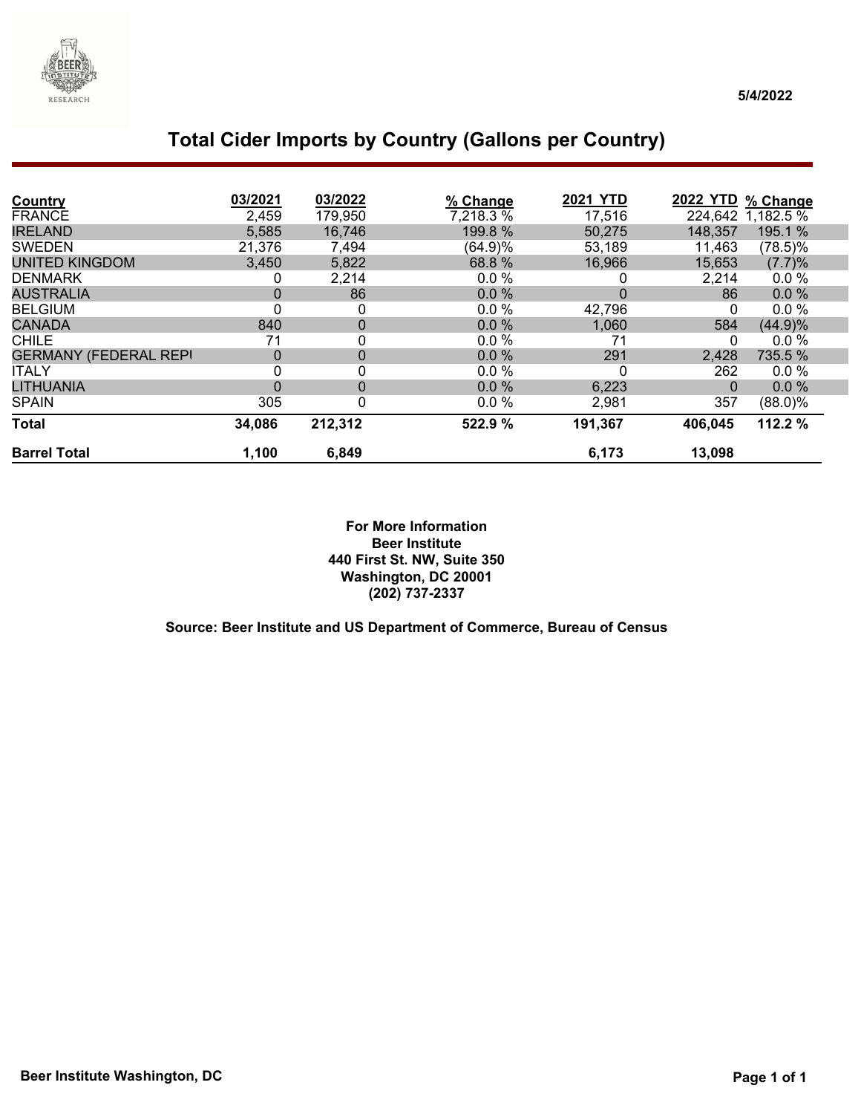

| Country                      | 03/2021     | 03/2022     | % Change  | <b>2021 YTD</b> | <b>2022 YTD</b> | % Change   |
|------------------------------|-------------|-------------|-----------|-----------------|-----------------|------------|
| <b>FRANCE</b>                | 2,459       | 179,950     | 7,218.3 % | 17,516          | 224,642         | 1,182.5 %  |
| <b>IRELAND</b>               | 5,585       | 16,746      | 199.8 %   | 50,275          | 148,357         | 195.1 %    |
| <b>SWEDEN</b>                | 21,376      | 7,494       | (64.9)%   | 53,189          | 11,463          | $(78.5)\%$ |
| <b>UNITED KINGDOM</b>        | 3,450       | 5,822       | 68.8 %    | 16,966          | 15,653          | (7.7)%     |
| <b>DENMARK</b>               | 0           | 2,214       | $0.0 \%$  | 0               | 2,214           | $0.0 \%$   |
| <b>AUSTRALIA</b>             | $\Omega$    | 86          | 0.0%      | $\mathbf 0$     | 86              | 0.0%       |
| <b>BELGIUM</b>               | 0           | 0           | 0.0%      | 42,796          | 0               | 0.0%       |
| <b>CANADA</b>                | 840         | $\mathbf 0$ | 0.0%      | 1,060           | 584             | (44.9)%    |
| <b>CHILE</b>                 | 71          | 0           | 0.0%      | 71              | 0               | 0.0%       |
| <b>GERMANY (FEDERAL REPI</b> | $\mathbf 0$ | $\mathbf 0$ | 0.0%      | 291             | 2,428           | 735.5 %    |
| <b>ITALY</b>                 | 0           | 0           | 0.0%      | 0               | 262             | 0.0%       |
| <b>LITHUANIA</b>             | $\Omega$    | $\mathbf 0$ | 0.0%      | 6,223           | $\mathbf 0$     | 0.0%       |
| <b>SPAIN</b>                 | 305         | 0           | 0.0%      | 2,981           | 357             | $(88.0)\%$ |
| <b>Total</b>                 | 34,086      | 212,312     | 522.9 %   | 191,367         | 406,045         | 112.2 %    |
| <b>Barrel Total</b>          | 1,100       | 6,849       |           | 6,173           | 13,098          |            |

**For More Information Beer Institute 440 First St. NW, Suite 350 Washington, DC 20001 (202) 737-2337**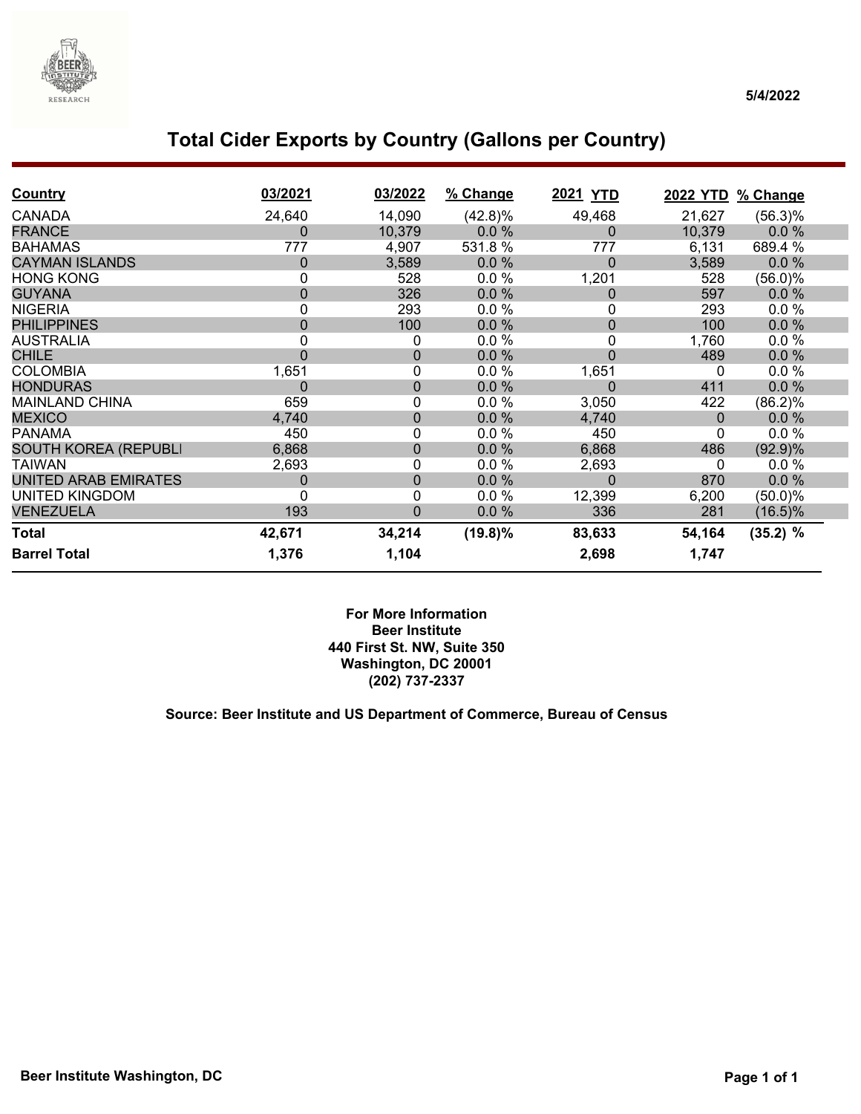

### **Total Cider Exports by Country (Gallons per Country)**

| <b>Country</b>              | 03/2021 | 03/2022     | % Change   | 2021 YTD       | 2022 YTD % Change |            |
|-----------------------------|---------|-------------|------------|----------------|-------------------|------------|
| <b>CANADA</b>               | 24,640  | 14,090      | $(42.8)\%$ | 49,468         | 21,627            | $(56.3)\%$ |
| <b>FRANCE</b>               | 0       | 10,379      | 0.0%       | 0              | 10,379            | 0.0%       |
| <b>BAHAMAS</b>              | 777     | 4,907       | 531.8%     | 777            | 6,131             | 689.4 %    |
| <b>CAYMAN ISLANDS</b>       | 0       | 3,589       | 0.0%       | $\overline{0}$ | 3,589             | 0.0%       |
| <b>HONG KONG</b>            | 0       | 528         | 0.0%       | 1,201          | 528               | $(56.0)\%$ |
| <b>GUYANA</b>               | 0       | 326         | 0.0%       | 0              | 597               | 0.0%       |
| <b>NIGERIA</b>              | 0       | 293         | 0.0%       | 0              | 293               | 0.0%       |
| <b>PHILIPPINES</b>          | 0       | 100         | 0.0%       | $\overline{0}$ | 100               | 0.0%       |
| <b>AUSTRALIA</b>            | 0       | 0           | 0.0 %      | 0              | 1,760             | 0.0%       |
| <b>CHILE</b>                | 0       | $\pmb{0}$   | 0.0%       | $\overline{0}$ | 489               | 0.0%       |
| <b>COLOMBIA</b>             | 1,651   | 0           | 0.0%       | 1,651          | 0                 | 0.0%       |
| <b>HONDURAS</b>             | 0       | $\pmb{0}$   | 0.0%       | $\Omega$       | 411               | 0.0%       |
| <b>MAINLAND CHINA</b>       | 659     | 0           | 0.0%       | 3,050          | 422               | (86.2)%    |
| <b>MEXICO</b>               | 4,740   | $\pmb{0}$   | 0.0%       | 4,740          | $\Omega$          | 0.0%       |
| <b>PANAMA</b>               | 450     | $\mathbf 0$ | 0.0%       | 450            | $\Omega$          | 0.0 %      |
| <b>SOUTH KOREA (REPUBLI</b> | 6,868   | $\mathbf 0$ | 0.0%       | 6,868          | 486               | (92.9)%    |
| <b>TAIWAN</b>               | 2,693   | $\mathbf 0$ | 0.0%       | 2,693          | 0                 | 0.0 %      |
| UNITED ARAB EMIRATES        | 0       | $\mathbf 0$ | 0.0%       | 0              | 870               | 0.0%       |
| <b>UNITED KINGDOM</b>       | 0       | $\mathbf 0$ | 0.0%       | 12,399         | 6,200             | $(50.0)\%$ |
| <b>VENEZUELA</b>            | 193     | 0           | 0.0%       | 336            | 281               | $(16.5)\%$ |
| <b>Total</b>                | 42,671  | 34,214      | $(19.8)\%$ | 83,633         | 54,164            | $(35.2)$ % |
| <b>Barrel Total</b>         | 1,376   | 1,104       |            | 2,698          | 1,747             |            |

**For More Information Beer Institute 440 First St. NW, Suite 350 Washington, DC 20001 (202) 737-2337**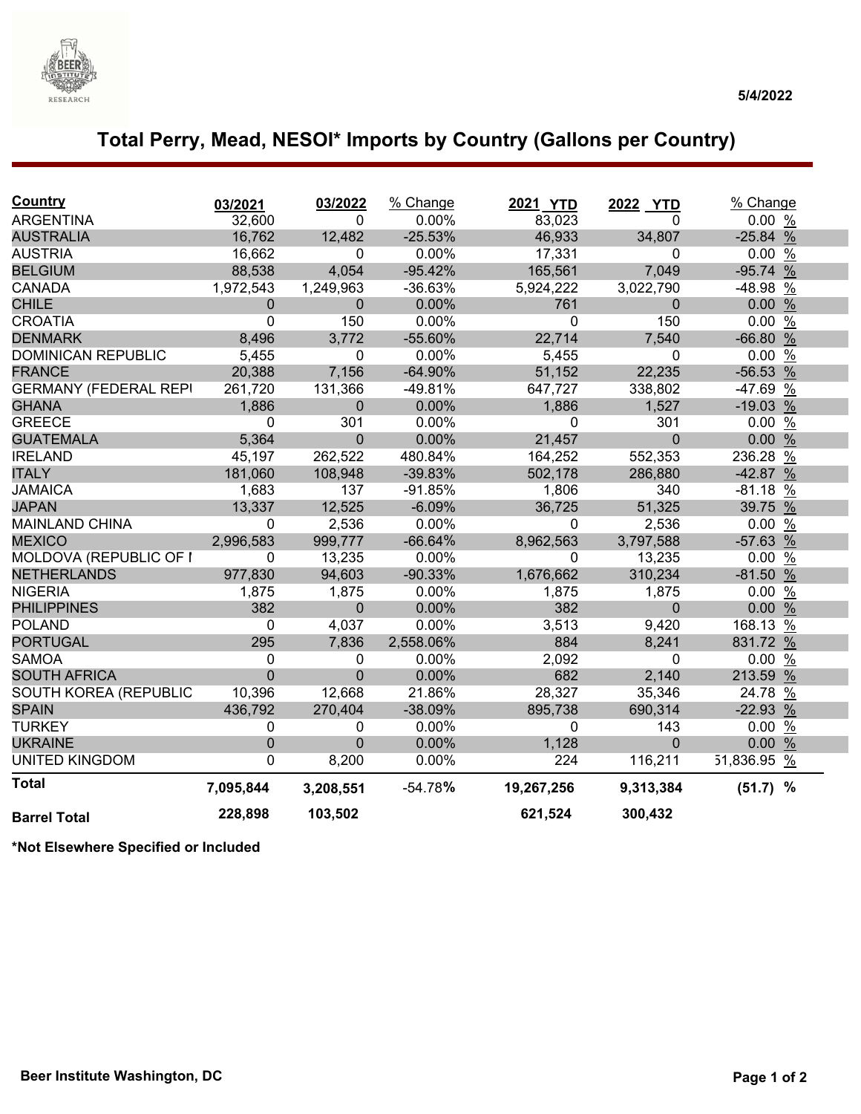

# **Total Perry, Mead, NESOI\* Imports by Country (Gallons per Country)**

| <b>Country</b>               | 03/2021        | 03/2022      | % Change  | 2021 YTD   | 2022 YTD     | % Change    |  |
|------------------------------|----------------|--------------|-----------|------------|--------------|-------------|--|
| <b>ARGENTINA</b>             | 32,600         | $\Omega$     | 0.00%     | 83,023     | 0            | 0.00%       |  |
| <b>AUSTRALIA</b>             | 16,762         | 12,482       | $-25.53%$ | 46,933     | 34,807       | $-25.84%$   |  |
| <b>AUSTRIA</b>               | 16,662         | $\mathbf 0$  | 0.00%     | 17,331     | $\mathbf 0$  | 0.00%       |  |
| <b>BELGIUM</b>               | 88,538         | 4,054        | $-95.42%$ | 165,561    | 7,049        | $-95.74%$   |  |
| <b>CANADA</b>                | 1,972,543      | 1,249,963    | $-36.63%$ | 5,924,222  | 3,022,790    | -48.98 %    |  |
| <b>CHILE</b>                 | $\mathbf 0$    | $\mathbf 0$  | 0.00%     | 761        | $\mathbf 0$  | 0.00%       |  |
| <b>CROATIA</b>               | 0              | 150          | 0.00%     | 0          | 150          | 0.00%       |  |
| <b>DENMARK</b>               | 8,496          | 3,772        | -55.60%   | 22,714     | 7,540        | $-66.80%$   |  |
| <b>DOMINICAN REPUBLIC</b>    | 5,455          | $\mathbf{0}$ | 0.00%     | 5,455      | $\mathbf{0}$ | $0.00\%$    |  |
| <b>FRANCE</b>                | 20,388         | 7,156        | $-64.90%$ | 51,152     | 22,235       | $-56.53%$   |  |
| <b>GERMANY (FEDERAL REPI</b> | 261,720        | 131,366      | $-49.81%$ | 647,727    | 338,802      | -47.69 %    |  |
| <b>GHANA</b>                 | 1,886          | $\Omega$     | 0.00%     | 1,886      | 1,527        | $-19.03%$   |  |
| <b>GREECE</b>                | 0              | 301          | 0.00%     | 0          | 301          | 0.00%       |  |
| <b>GUATEMALA</b>             | 5,364          | $\Omega$     | 0.00%     | 21,457     | $\mathbf{0}$ | 0.00%       |  |
| <b>IRELAND</b>               | 45,197         | 262,522      | 480.84%   | 164,252    | 552,353      | 236.28 %    |  |
| <b>ITALY</b>                 | 181,060        | 108,948      | $-39.83%$ | 502,178    | 286,880      | $-42.87%$   |  |
| <b>JAMAICA</b>               | 1,683          | 137          | $-91.85%$ | 1,806      | 340          | $-81.18$ %  |  |
| <b>JAPAN</b>                 | 13,337         | 12,525       | $-6.09%$  | 36,725     | 51,325       | 39.75 %     |  |
| <b>MAINLAND CHINA</b>        | 0              | 2,536        | 0.00%     | 0          | 2,536        | 0.00%       |  |
| <b>MEXICO</b>                | 2,996,583      | 999,777      | $-66.64%$ | 8,962,563  | 3,797,588    | -57.63 %    |  |
| MOLDOVA (REPUBLIC OF I       | 0              | 13,235       | 0.00%     | 0          | 13,235       | 0.00%       |  |
| <b>NETHERLANDS</b>           | 977,830        | 94,603       | $-90.33%$ | 1,676,662  | 310,234      | $-81.50%$   |  |
| <b>NIGERIA</b>               | 1,875          | 1,875        | 0.00%     | 1,875      | 1,875        | 0.00%       |  |
| <b>PHILIPPINES</b>           | 382            | $\mathbf{0}$ | 0.00%     | 382        | $\mathbf{0}$ | 0.00%       |  |
| <b>POLAND</b>                | 0              | 4,037        | 0.00%     | 3,513      | 9,420        | 168.13 %    |  |
| <b>PORTUGAL</b>              | 295            | 7,836        | 2,558.06% | 884        | 8,241        | 831.72 %    |  |
| <b>SAMOA</b>                 | 0              | 0            | 0.00%     | 2,092      | 0            | 0.00%       |  |
| <b>SOUTH AFRICA</b>          | $\overline{0}$ | $\Omega$     | 0.00%     | 682        | 2,140        | 213.59 %    |  |
| SOUTH KOREA (REPUBLIC        | 10,396         | 12,668       | 21.86%    | 28,327     | 35,346       | 24.78 %     |  |
| <b>SPAIN</b>                 | 436,792        | 270,404      | $-38.09%$ | 895,738    | 690,314      | $-22.93%$   |  |
| <b>TURKEY</b>                | 0              | 0            | 0.00%     | 0          | 143          | 0.00%       |  |
| <b>UKRAINE</b>               | $\mathbf 0$    | 0            | 0.00%     | 1,128      | $\Omega$     | 0.00%       |  |
| <b>UNITED KINGDOM</b>        | $\Omega$       | 8,200        | 0.00%     | 224        | 116,211      | 51,836.95 % |  |
| <b>Total</b>                 | 7,095,844      | 3,208,551    | $-54.78%$ | 19,267,256 | 9,313,384    | $(51.7)$ %  |  |
| <b>Barrel Total</b>          | 228,898        | 103,502      |           | 621,524    | 300,432      |             |  |

**\*Not Elsewhere Specified or Included**